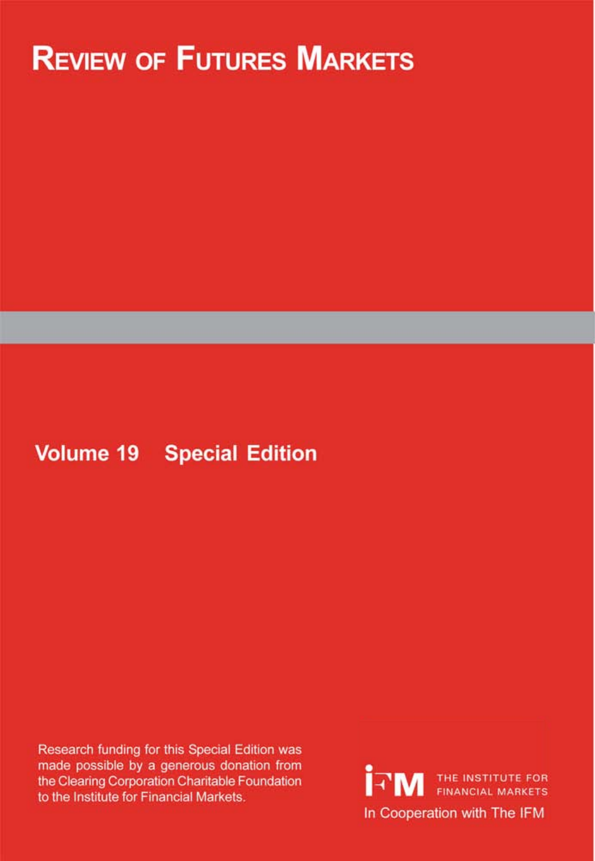# **REVIEW OF FUTURES MARKETS**

# **Volume 19 Special Edition**

Research funding for this Special Edition was made possible by a generous donation from the Clearing Corporation Charitable Foundation to the Institute for Financial Markets.

THE INSTITUTE FOR In Cooperation with The IFM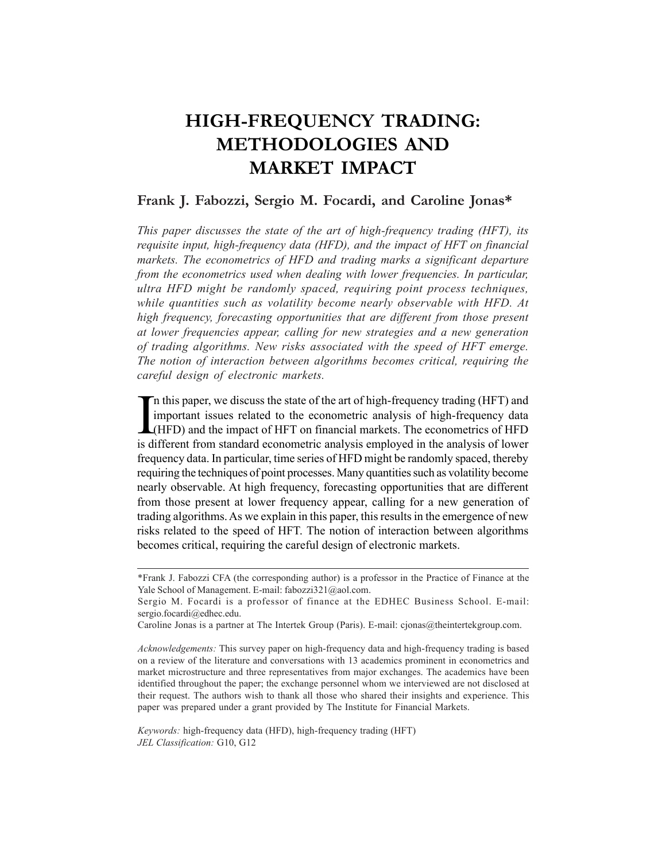# **HIGH-FREQUENCY TRADING: METHODOLOGIES AND MARKET IMPACT**

# **Frank J. Fabozzi, Sergio M. Focardi, and Caroline Jonas\***

*This paper discusses the state of the art of high-frequency trading (HFT), its requisite input, high-frequency data (HFD), and the impact of HFT on financial markets. The econometrics of HFD and trading marks a significant departure from the econometrics used when dealing with lower frequencies. In particular, ultra HFD might be randomly spaced, requiring point process techniques, while quantities such as volatility become nearly observable with HFD. At high frequency, forecasting opportunities that are different from those present at lower frequencies appear, calling for new strategies and a new generation of trading algorithms. New risks associated with the speed of HFT emerge. The notion of interaction between algorithms becomes critical, requiring the careful design of electronic markets.*

In this paper, we discuss the state of the art of high-frequency trading (HFT) and<br>important issues related to the econometric analysis of high-frequency data<br>(HFD) and the impact of HFT on financial markets. The econometr n this paper, we discuss the state of the art of high-frequency trading (HFT) and important issues related to the econometric analysis of high-frequency data is different from standard econometric analysis employed in the analysis of lower frequency data. In particular, time series of HFD might be randomly spaced, thereby requiring the techniques of point processes. Many quantities such as volatility become nearly observable. At high frequency, forecasting opportunities that are different from those present at lower frequency appear, calling for a new generation of trading algorithms. As we explain in this paper, this results in the emergence of new risks related to the speed of HFT. The notion of interaction between algorithms becomes critical, requiring the careful design of electronic markets.

<sup>\*</sup>Frank J. Fabozzi CFA (the corresponding author) is a professor in the Practice of Finance at the Yale School of Management. E-mail: fabozzi321@aol.com.

Sergio M. Focardi is a professor of finance at the EDHEC Business School. E-mail: sergio.focardi@edhec.edu.

Caroline Jonas is a partner at The Intertek Group (Paris). E-mail: cjonas@theintertekgroup.com.

*Acknowledgements:* This survey paper on high-frequency data and high-frequency trading is based on a review of the literature and conversations with 13 academics prominent in econometrics and market microstructure and three representatives from major exchanges. The academics have been identified throughout the paper; the exchange personnel whom we interviewed are not disclosed at their request. The authors wish to thank all those who shared their insights and experience. This paper was prepared under a grant provided by The Institute for Financial Markets.

*Keywords:* high-frequency data (HFD), high-frequency trading (HFT) *JEL Classification:* G10, G12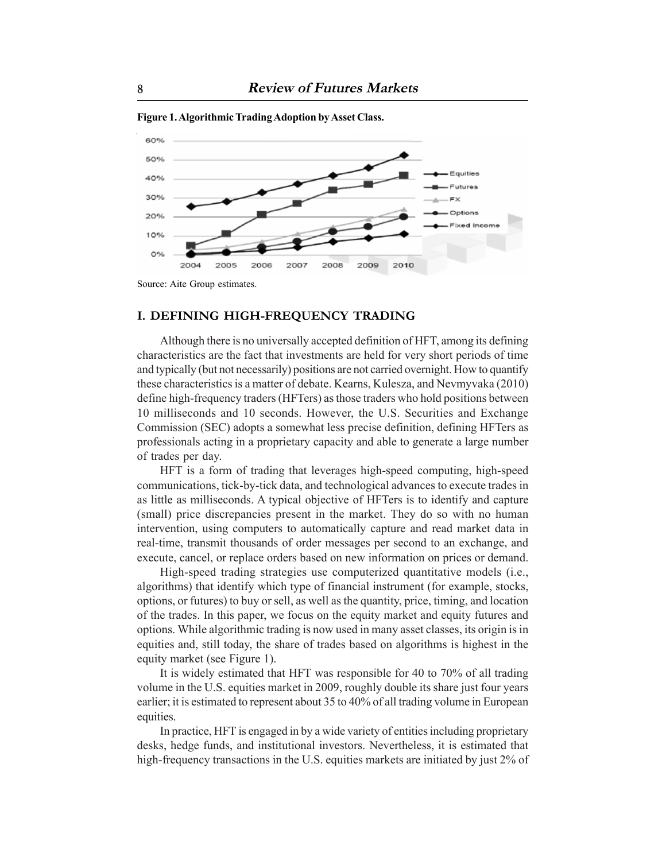

**Figure 1. Algorithmic Trading Adoption by Asset Class.**

Source: Aite Group estimates.

#### **I. DEFINING HIGH-FREQUENCY TRADING**

Although there is no universally accepted definition of HFT, among its defining characteristics are the fact that investments are held for very short periods of time and typically (but not necessarily) positions are not carried overnight. How to quantify these characteristics is a matter of debate. Kearns, Kulesza, and Nevmyvaka (2010) define high-frequency traders (HFTers) as those traders who hold positions between 10 milliseconds and 10 seconds. However, the U.S. Securities and Exchange Commission (SEC) adopts a somewhat less precise definition, defining HFTers as professionals acting in a proprietary capacity and able to generate a large number of trades per day.

HFT is a form of trading that leverages high-speed computing, high-speed communications, tick-by-tick data, and technological advances to execute trades in as little as milliseconds. A typical objective of HFTers is to identify and capture (small) price discrepancies present in the market. They do so with no human intervention, using computers to automatically capture and read market data in real-time, transmit thousands of order messages per second to an exchange, and execute, cancel, or replace orders based on new information on prices or demand.

High-speed trading strategies use computerized quantitative models (i.e., algorithms) that identify which type of financial instrument (for example, stocks, options, or futures) to buy or sell, as well as the quantity, price, timing, and location of the trades. In this paper, we focus on the equity market and equity futures and options. While algorithmic trading is now used in many asset classes, its origin is in equities and, still today, the share of trades based on algorithms is highest in the equity market (see Figure 1).

It is widely estimated that HFT was responsible for 40 to 70% of all trading volume in the U.S. equities market in 2009, roughly double its share just four years earlier; it is estimated to represent about 35 to 40% of all trading volume in European equities.

In practice, HFT is engaged in by a wide variety of entities including proprietary desks, hedge funds, and institutional investors. Nevertheless, it is estimated that high-frequency transactions in the U.S. equities markets are initiated by just 2% of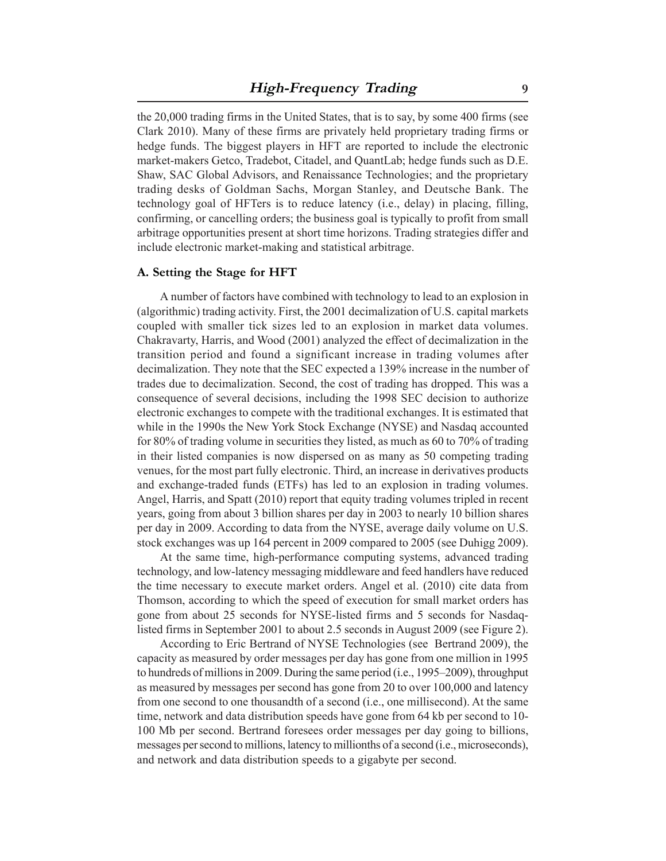the 20,000 trading firms in the United States, that is to say, by some 400 firms (see Clark 2010). Many of these firms are privately held proprietary trading firms or hedge funds. The biggest players in HFT are reported to include the electronic market-makers Getco, Tradebot, Citadel, and QuantLab; hedge funds such as D.E. Shaw, SAC Global Advisors, and Renaissance Technologies; and the proprietary trading desks of Goldman Sachs, Morgan Stanley, and Deutsche Bank. The technology goal of HFTers is to reduce latency (i.e., delay) in placing, filling, confirming, or cancelling orders; the business goal is typically to profit from small arbitrage opportunities present at short time horizons. Trading strategies differ and include electronic market-making and statistical arbitrage.

#### **A. Setting the Stage for HFT**

A number of factors have combined with technology to lead to an explosion in (algorithmic) trading activity. First, the 2001 decimalization of U.S. capital markets coupled with smaller tick sizes led to an explosion in market data volumes. Chakravarty, Harris, and Wood (2001) analyzed the effect of decimalization in the transition period and found a significant increase in trading volumes after decimalization. They note that the SEC expected a 139% increase in the number of trades due to decimalization. Second, the cost of trading has dropped. This was a consequence of several decisions, including the 1998 SEC decision to authorize electronic exchanges to compete with the traditional exchanges. It is estimated that while in the 1990s the New York Stock Exchange (NYSE) and Nasdaq accounted for 80% of trading volume in securities they listed, as much as 60 to 70% of trading in their listed companies is now dispersed on as many as 50 competing trading venues, for the most part fully electronic. Third, an increase in derivatives products and exchange-traded funds (ETFs) has led to an explosion in trading volumes. Angel, Harris, and Spatt (2010) report that equity trading volumes tripled in recent years, going from about 3 billion shares per day in 2003 to nearly 10 billion shares per day in 2009. According to data from the NYSE, average daily volume on U.S. stock exchanges was up 164 percent in 2009 compared to 2005 (see Duhigg 2009).

At the same time, high-performance computing systems, advanced trading technology, and low-latency messaging middleware and feed handlers have reduced the time necessary to execute market orders. Angel et al. (2010) cite data from Thomson, according to which the speed of execution for small market orders has gone from about 25 seconds for NYSE-listed firms and 5 seconds for Nasdaqlisted firms in September 2001 to about 2.5 seconds in August 2009 (see Figure 2).

According to Eric Bertrand of NYSE Technologies (see Bertrand 2009), the capacity as measured by order messages per day has gone from one million in 1995 to hundreds of millions in 2009. During the same period (i.e., 1995–2009), throughput as measured by messages per second has gone from 20 to over 100,000 and latency from one second to one thousandth of a second (i.e., one millisecond). At the same time, network and data distribution speeds have gone from 64 kb per second to 10- 100 Mb per second. Bertrand foresees order messages per day going to billions, messages per second to millions, latency to millionths of a second (i.e., microseconds), and network and data distribution speeds to a gigabyte per second.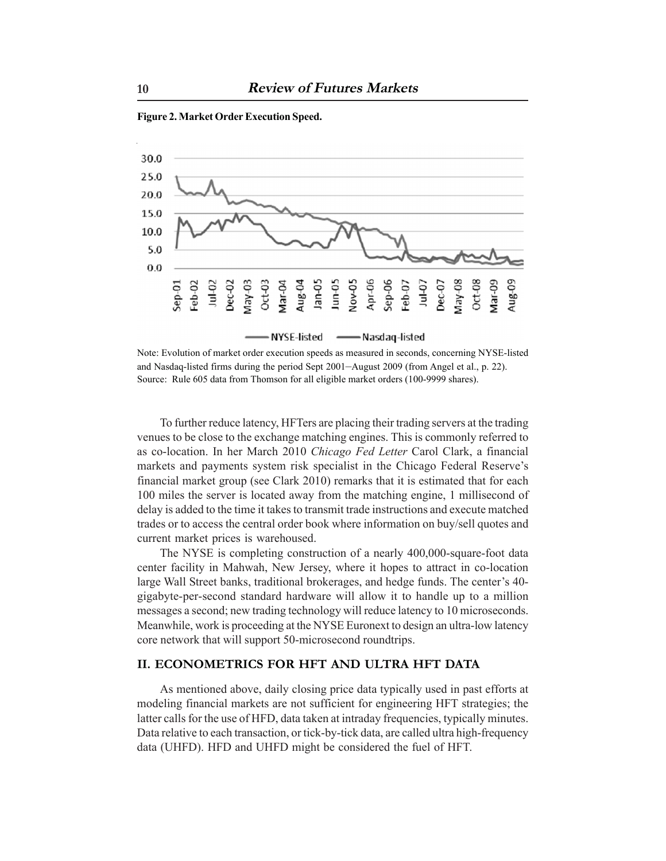

**Figure 2. Market Order Execution Speed.**

Note: Evolution of market order execution speeds as measured in seconds, concerning NYSE-listed and Nasdaq-listed firms during the period Sept 2001–August 2009 (from Angel et al., p. 22). Source: Rule 605 data from Thomson for all eligible market orders (100-9999 shares).

To further reduce latency, HFTers are placing their trading servers at the trading venues to be close to the exchange matching engines. This is commonly referred to as co-location. In her March 2010 *Chicago Fed Letter* Carol Clark, a financial markets and payments system risk specialist in the Chicago Federal Reserve's financial market group (see Clark 2010) remarks that it is estimated that for each 100 miles the server is located away from the matching engine, 1 millisecond of delay is added to the time it takes to transmit trade instructions and execute matched trades or to access the central order book where information on buy/sell quotes and current market prices is warehoused.

The NYSE is completing construction of a nearly 400,000-square-foot data center facility in Mahwah, New Jersey, where it hopes to attract in co-location large Wall Street banks, traditional brokerages, and hedge funds. The center's 40 gigabyte-per-second standard hardware will allow it to handle up to a million messages a second; new trading technology will reduce latency to 10 microseconds. Meanwhile, work is proceeding at the NYSE Euronext to design an ultra-low latency core network that will support 50-microsecond roundtrips.

### **II. ECONOMETRICS FOR HFT AND ULTRA HFT DATA**

As mentioned above, daily closing price data typically used in past efforts at modeling financial markets are not sufficient for engineering HFT strategies; the latter calls for the use of HFD, data taken at intraday frequencies, typically minutes. Data relative to each transaction, or tick-by-tick data, are called ultra high-frequency data (UHFD). HFD and UHFD might be considered the fuel of HFT.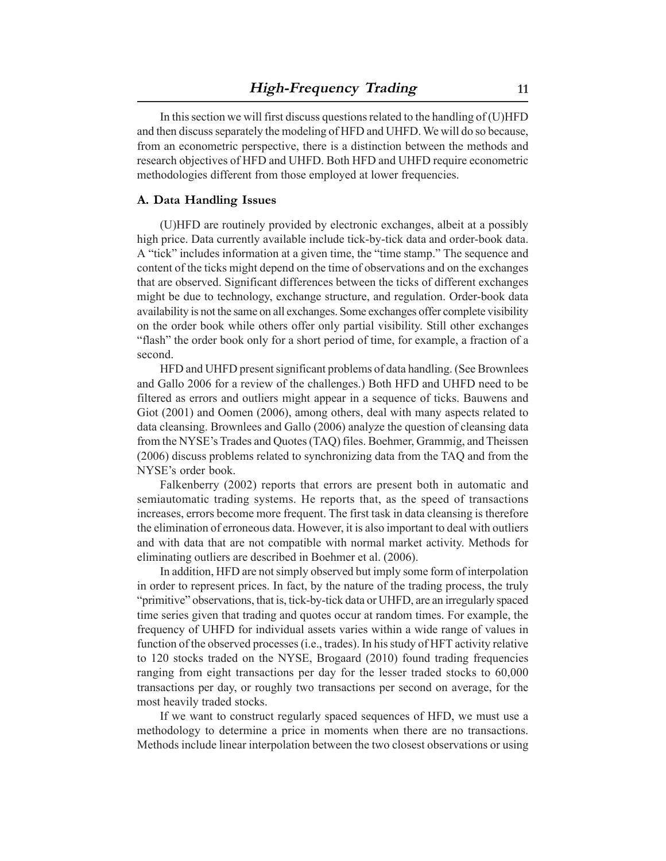In this section we will first discuss questions related to the handling of (U)HFD and then discuss separately the modeling of HFD and UHFD. We will do so because, from an econometric perspective, there is a distinction between the methods and research objectives of HFD and UHFD. Both HFD and UHFD require econometric methodologies different from those employed at lower frequencies.

#### **A. Data Handling Issues**

(U)HFD are routinely provided by electronic exchanges, albeit at a possibly high price. Data currently available include tick-by-tick data and order-book data. A "tick" includes information at a given time, the "time stamp." The sequence and content of the ticks might depend on the time of observations and on the exchanges that are observed. Significant differences between the ticks of different exchanges might be due to technology, exchange structure, and regulation. Order-book data availability is not the same on all exchanges. Some exchanges offer complete visibility on the order book while others offer only partial visibility. Still other exchanges "flash" the order book only for a short period of time, for example, a fraction of a second.

HFD and UHFD present significant problems of data handling. (See Brownlees and Gallo 2006 for a review of the challenges.) Both HFD and UHFD need to be filtered as errors and outliers might appear in a sequence of ticks. Bauwens and Giot (2001) and Oomen (2006), among others, deal with many aspects related to data cleansing. Brownlees and Gallo (2006) analyze the question of cleansing data from the NYSE's Trades and Quotes (TAQ) files. Boehmer, Grammig, and Theissen (2006) discuss problems related to synchronizing data from the TAQ and from the NYSE's order book.

Falkenberry (2002) reports that errors are present both in automatic and semiautomatic trading systems. He reports that, as the speed of transactions increases, errors become more frequent. The first task in data cleansing is therefore the elimination of erroneous data. However, it is also important to deal with outliers and with data that are not compatible with normal market activity. Methods for eliminating outliers are described in Boehmer et al. (2006).

In addition, HFD are not simply observed but imply some form of interpolation in order to represent prices. In fact, by the nature of the trading process, the truly "primitive" observations, that is, tick-by-tick data or UHFD, are an irregularly spaced time series given that trading and quotes occur at random times. For example, the frequency of UHFD for individual assets varies within a wide range of values in function of the observed processes (i.e., trades). In his study of HFT activity relative to 120 stocks traded on the NYSE, Brogaard (2010) found trading frequencies ranging from eight transactions per day for the lesser traded stocks to 60,000 transactions per day, or roughly two transactions per second on average, for the most heavily traded stocks.

If we want to construct regularly spaced sequences of HFD, we must use a methodology to determine a price in moments when there are no transactions. Methods include linear interpolation between the two closest observations or using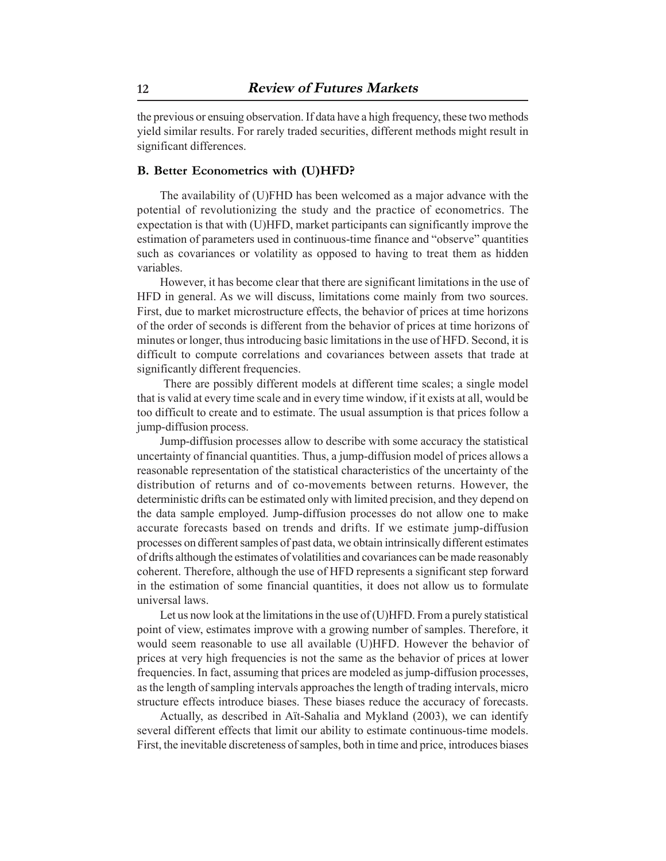the previous or ensuing observation. If data have a high frequency, these two methods yield similar results. For rarely traded securities, different methods might result in significant differences.

#### **B. Better Econometrics with (U)HFD?**

The availability of (U)FHD has been welcomed as a major advance with the potential of revolutionizing the study and the practice of econometrics. The expectation is that with (U)HFD, market participants can significantly improve the estimation of parameters used in continuous-time finance and "observe" quantities such as covariances or volatility as opposed to having to treat them as hidden variables.

However, it has become clear that there are significant limitations in the use of HFD in general. As we will discuss, limitations come mainly from two sources. First, due to market microstructure effects, the behavior of prices at time horizons of the order of seconds is different from the behavior of prices at time horizons of minutes or longer, thus introducing basic limitations in the use of HFD. Second, it is difficult to compute correlations and covariances between assets that trade at significantly different frequencies.

 There are possibly different models at different time scales; a single model that is valid at every time scale and in every time window, if it exists at all, would be too difficult to create and to estimate. The usual assumption is that prices follow a jump-diffusion process.

Jump-diffusion processes allow to describe with some accuracy the statistical uncertainty of financial quantities. Thus, a jump-diffusion model of prices allows a reasonable representation of the statistical characteristics of the uncertainty of the distribution of returns and of co-movements between returns. However, the deterministic drifts can be estimated only with limited precision, and they depend on the data sample employed. Jump-diffusion processes do not allow one to make accurate forecasts based on trends and drifts. If we estimate jump-diffusion processes on different samples of past data, we obtain intrinsically different estimates of drifts although the estimates of volatilities and covariances can be made reasonably coherent. Therefore, although the use of HFD represents a significant step forward in the estimation of some financial quantities, it does not allow us to formulate universal laws.

Let us now look at the limitations in the use of (U)HFD. From a purely statistical point of view, estimates improve with a growing number of samples. Therefore, it would seem reasonable to use all available (U)HFD. However the behavior of prices at very high frequencies is not the same as the behavior of prices at lower frequencies. In fact, assuming that prices are modeled as jump-diffusion processes, as the length of sampling intervals approaches the length of trading intervals, micro structure effects introduce biases. These biases reduce the accuracy of forecasts.

Actually, as described in Aït-Sahalia and Mykland (2003), we can identify several different effects that limit our ability to estimate continuous-time models. First, the inevitable discreteness of samples, both in time and price, introduces biases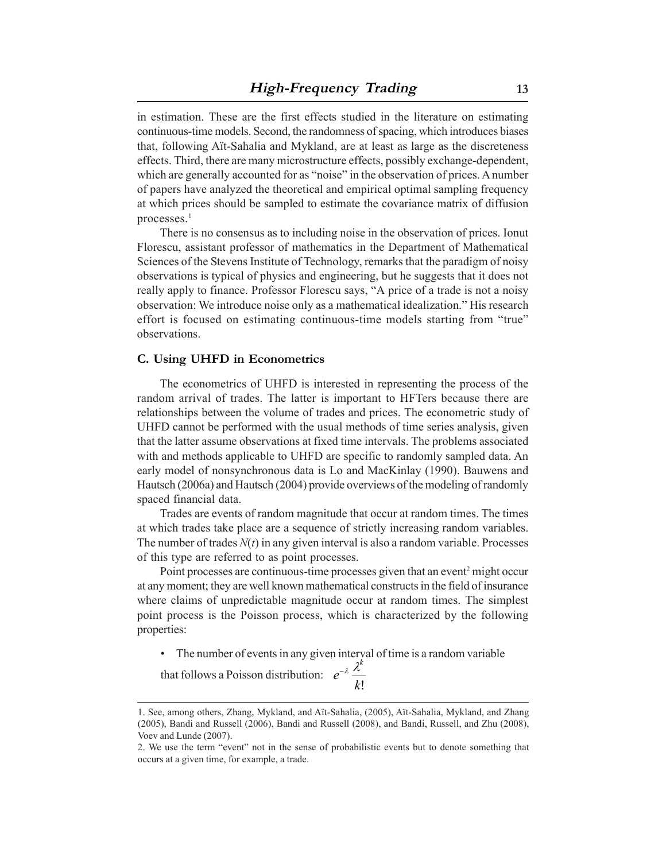in estimation. These are the first effects studied in the literature on estimating continuous-time models. Second, the randomness of spacing, which introduces biases that, following Aït-Sahalia and Mykland, are at least as large as the discreteness effects. Third, there are many microstructure effects, possibly exchange-dependent, which are generally accounted for as "noise" in the observation of prices. A number of papers have analyzed the theoretical and empirical optimal sampling frequency at which prices should be sampled to estimate the covariance matrix of diffusion processes.<sup>1</sup>

There is no consensus as to including noise in the observation of prices. Ionut Florescu, assistant professor of mathematics in the Department of Mathematical Sciences of the Stevens Institute of Technology, remarks that the paradigm of noisy observations is typical of physics and engineering, but he suggests that it does not really apply to finance. Professor Florescu says, "A price of a trade is not a noisy observation: We introduce noise only as a mathematical idealization." His research effort is focused on estimating continuous-time models starting from "true" observations.

#### **C. Using UHFD in Econometrics**

The econometrics of UHFD is interested in representing the process of the random arrival of trades. The latter is important to HFTers because there are relationships between the volume of trades and prices. The econometric study of UHFD cannot be performed with the usual methods of time series analysis, given that the latter assume observations at fixed time intervals. The problems associated with and methods applicable to UHFD are specific to randomly sampled data. An early model of nonsynchronous data is Lo and MacKinlay (1990). Bauwens and Hautsch (2006a) and Hautsch (2004) provide overviews of the modeling of randomly spaced financial data.

Trades are events of random magnitude that occur at random times. The times at which trades take place are a sequence of strictly increasing random variables. The number of trades  $N(t)$  in any given interval is also a random variable. Processes of this type are referred to as point processes.

Point processes are continuous-time processes given that an event<sup>2</sup> might occur at any moment; they are well known mathematical constructs in the field of insurance where claims of unpredictable magnitude occur at random times. The simplest point process is the Poisson process, which is characterized by the following properties:

• The number of events in any given interval of time is a random variable

that follows a Poisson distribution: *k*! *e k* <sup>−</sup><sup>λ</sup> λ

<sup>1.</sup> See, among others, Zhang, Mykland, and Aït-Sahalia, (2005), Aït-Sahalia, Mykland, and Zhang (2005), Bandi and Russell (2006), Bandi and Russell (2008), and Bandi, Russell, and Zhu (2008), Voev and Lunde (2007).

<sup>2.</sup> We use the term "event" not in the sense of probabilistic events but to denote something that occurs at a given time, for example, a trade.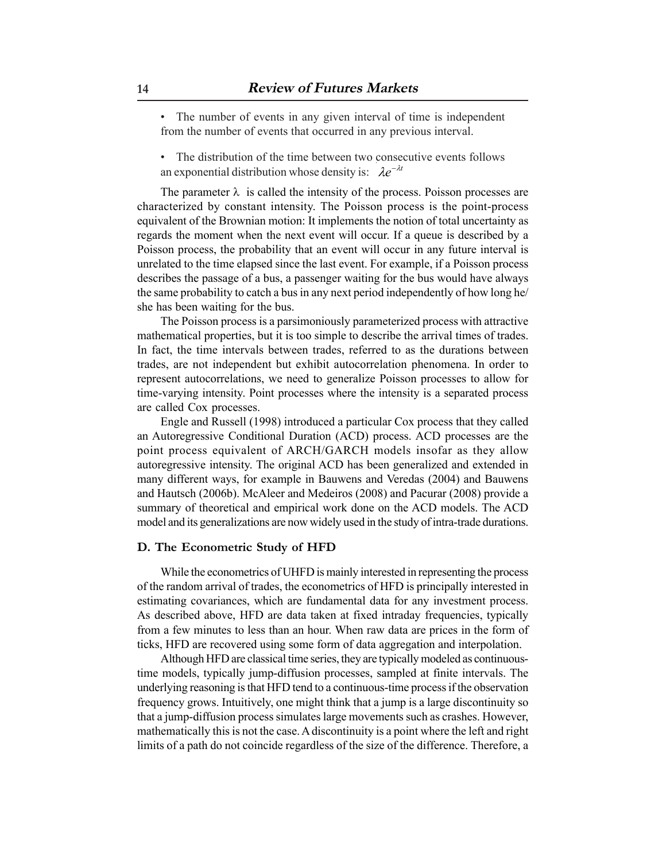• The number of events in any given interval of time is independent from the number of events that occurred in any previous interval.

• The distribution of the time between two consecutive events follows an exponential distribution whose density is:  $\lambda e^{-\lambda t}$ 

The parameter  $\lambda$  is called the intensity of the process. Poisson processes are characterized by constant intensity. The Poisson process is the point-process equivalent of the Brownian motion: It implements the notion of total uncertainty as regards the moment when the next event will occur. If a queue is described by a Poisson process, the probability that an event will occur in any future interval is unrelated to the time elapsed since the last event. For example, if a Poisson process describes the passage of a bus, a passenger waiting for the bus would have always the same probability to catch a bus in any next period independently of how long he/ she has been waiting for the bus.

The Poisson process is a parsimoniously parameterized process with attractive mathematical properties, but it is too simple to describe the arrival times of trades. In fact, the time intervals between trades, referred to as the durations between trades, are not independent but exhibit autocorrelation phenomena. In order to represent autocorrelations, we need to generalize Poisson processes to allow for time-varying intensity. Point processes where the intensity is a separated process are called Cox processes.

Engle and Russell (1998) introduced a particular Cox process that they called an Autoregressive Conditional Duration (ACD) process. ACD processes are the point process equivalent of ARCH/GARCH models insofar as they allow autoregressive intensity. The original ACD has been generalized and extended in many different ways, for example in Bauwens and Veredas (2004) and Bauwens and Hautsch (2006b). McAleer and Medeiros (2008) and Pacurar (2008) provide a summary of theoretical and empirical work done on the ACD models. The ACD model and its generalizations are now widely used in the study of intra-trade durations.

#### **D. The Econometric Study of HFD**

While the econometrics of UHFD is mainly interested in representing the process of the random arrival of trades, the econometrics of HFD is principally interested in estimating covariances, which are fundamental data for any investment process. As described above, HFD are data taken at fixed intraday frequencies, typically from a few minutes to less than an hour. When raw data are prices in the form of ticks, HFD are recovered using some form of data aggregation and interpolation.

Although HFD are classical time series, they are typically modeled as continuoustime models, typically jump-diffusion processes, sampled at finite intervals. The underlying reasoning is that HFD tend to a continuous-time process if the observation frequency grows. Intuitively, one might think that a jump is a large discontinuity so that a jump-diffusion process simulates large movements such as crashes. However, mathematically this is not the case. A discontinuity is a point where the left and right limits of a path do not coincide regardless of the size of the difference. Therefore, a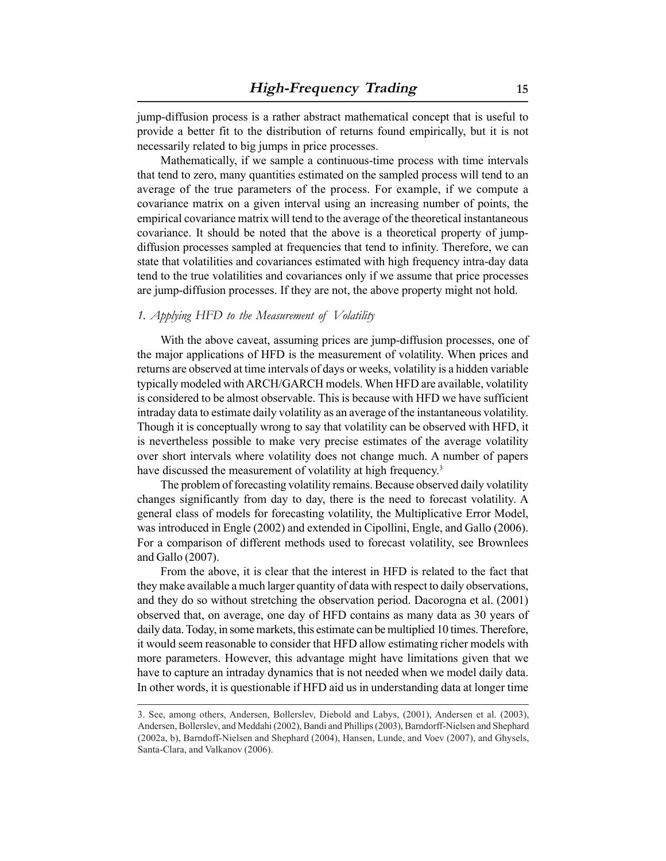jump-diffusion process is a rather abstract mathematical concept that is useful to provide a better fit to the distribution of returns found empirically, but it is not necessarily related to big jumps in price processes.

Mathematically, if we sample a continuous-time process with time intervals that tend to zero, many quantities estimated on the sampled process will tend to an average of the true parameters of the process. For example, if we compute a covariance matrix on a given interval using an increasing number of points, the empirical covariance matrix will tend to the average of the theoretical instantaneous covariance. It should be noted that the above is a theoretical property of jumpdiffusion processes sampled at frequencies that tend to infinity. Therefore, we can state that volatilities and covariances estimated with high frequency intra-day data tend to the true volatilities and covariances only if we assume that price processes are jump-diffusion processes. If they are not, the above property might not hold.

#### *1. Applying HFD to the Measurement of Volatility*

With the above caveat, assuming prices are jump-diffusion processes, one of the major applications of HFD is the measurement of volatility. When prices and returns are observed at time intervals of days or weeks, volatility is a hidden variable typically modeled with ARCH/GARCH models. When HFD are available, volatility is considered to be almost observable. This is because with HFD we have sufficient intraday data to estimate daily volatility as an average of the instantaneous volatility. Though it is conceptually wrong to say that volatility can be observed with HFD, it is nevertheless possible to make very precise estimates of the average volatility over short intervals where volatility does not change much. A number of papers have discussed the measurement of volatility at high frequency.<sup>3</sup>

The problem of forecasting volatility remains. Because observed daily volatility changes significantly from day to day, there is the need to forecast volatility. A general class of models for forecasting volatility, the Multiplicative Error Model, was introduced in Engle (2002) and extended in Cipollini, Engle, and Gallo (2006). For a comparison of different methods used to forecast volatility, see Brownlees and Gallo (2007).

From the above, it is clear that the interest in HFD is related to the fact that they make available a much larger quantity of data with respect to daily observations, and they do so without stretching the observation period. Dacorogna et al. (2001) observed that, on average, one day of HFD contains as many data as 30 years of daily data. Today, in some markets, this estimate can be multiplied 10 times. Therefore, it would seem reasonable to consider that HFD allow estimating richer models with more parameters. However, this advantage might have limitations given that we have to capture an intraday dynamics that is not needed when we model daily data. In other words, it is questionable if HFD aid us in understanding data at longer time

<sup>3.</sup> See, among others, Andersen, Bollerslev, Diebold and Labys, (2001), Andersen et al. (2003), Andersen, Bollerslev, and Meddahi (2002), Bandi and Phillips (2003), Barndorff-Nielsen and Shephard (2002a, b), Barndoff-Nielsen and Shephard (2004), Hansen, Lunde, and Voev (2007), and Ghysels, Santa-Clara, and Valkanov (2006).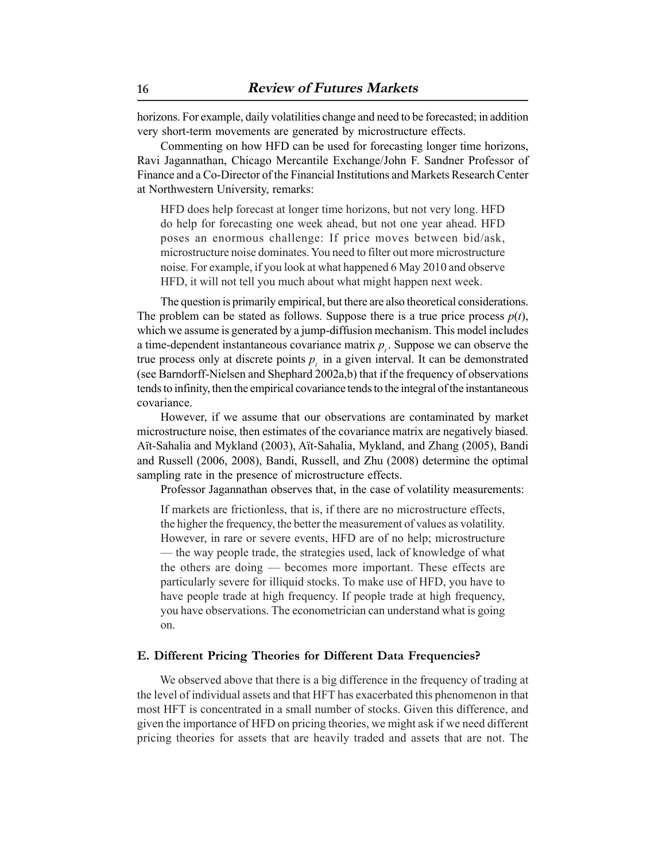horizons. For example, daily volatilities change and need to be forecasted; in addition very short-term movements are generated by microstructure effects.

Commenting on how HFD can be used for forecasting longer time horizons, Ravi Jagannathan, Chicago Mercantile Exchange/John F. Sandner Professor of Finance and a Co-Director of the Financial Institutions and Markets Research Center at Northwestern University, remarks:

HFD does help forecast at longer time horizons, but not very long. HFD do help for forecasting one week ahead, but not one year ahead. HFD poses an enormous challenge: If price moves between bid/ask, microstructure noise dominates. You need to filter out more microstructure noise. For example, if you look at what happened 6 May 2010 and observe HFD, it will not tell you much about what might happen next week.

The question is primarily empirical, but there are also theoretical considerations. The problem can be stated as follows. Suppose there is a true price process  $p(t)$ , which we assume is generated by a jump-diffusion mechanism. This model includes a time-dependent instantaneous covariance matrix  $p_t$ . Suppose we can observe the true process only at discrete points  $p_i$  in a given interval. It can be demonstrated (see Barndorff-Nielsen and Shephard 2002a,b) that if the frequency of observations tends to infinity, then the empirical covariance tends to the integral of the instantaneous covariance.

However, if we assume that our observations are contaminated by market microstructure noise, then estimates of the covariance matrix are negatively biased. Aït-Sahalia and Mykland (2003), Aït-Sahalia, Mykland, and Zhang (2005), Bandi and Russell (2006, 2008), Bandi, Russell, and Zhu (2008) determine the optimal sampling rate in the presence of microstructure effects.

Professor Jagannathan observes that, in the case of volatility measurements:

If markets are frictionless, that is, if there are no microstructure effects, the higher the frequency, the better the measurement of values as volatility. However, in rare or severe events, HFD are of no help; microstructure — the way people trade, the strategies used, lack of knowledge of what the others are doing — becomes more important. These effects are particularly severe for illiquid stocks. To make use of HFD, you have to have people trade at high frequency. If people trade at high frequency, you have observations. The econometrician can understand what is going on.

#### **E. Different Pricing Theories for Different Data Frequencies?**

We observed above that there is a big difference in the frequency of trading at the level of individual assets and that HFT has exacerbated this phenomenon in that most HFT is concentrated in a small number of stocks. Given this difference, and given the importance of HFD on pricing theories, we might ask if we need different pricing theories for assets that are heavily traded and assets that are not. The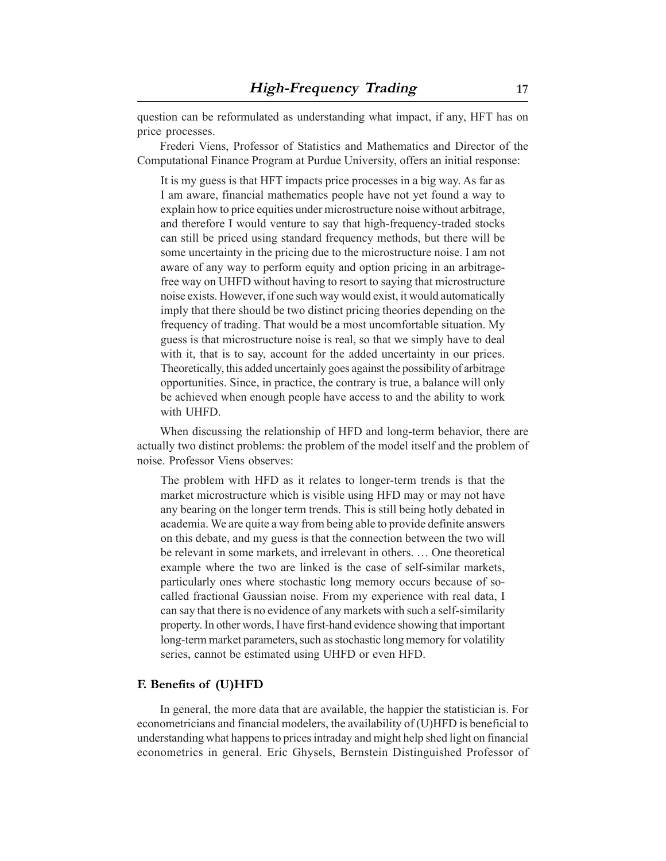question can be reformulated as understanding what impact, if any, HFT has on price processes.

Frederi Viens, Professor of Statistics and Mathematics and Director of the Computational Finance Program at Purdue University, offers an initial response:

It is my guess is that HFT impacts price processes in a big way. As far as I am aware, financial mathematics people have not yet found a way to explain how to price equities under microstructure noise without arbitrage, and therefore I would venture to say that high-frequency-traded stocks can still be priced using standard frequency methods, but there will be some uncertainty in the pricing due to the microstructure noise. I am not aware of any way to perform equity and option pricing in an arbitragefree way on UHFD without having to resort to saying that microstructure noise exists. However, if one such way would exist, it would automatically imply that there should be two distinct pricing theories depending on the frequency of trading. That would be a most uncomfortable situation. My guess is that microstructure noise is real, so that we simply have to deal with it, that is to say, account for the added uncertainty in our prices. Theoretically, this added uncertainly goes against the possibility of arbitrage opportunities. Since, in practice, the contrary is true, a balance will only be achieved when enough people have access to and the ability to work with UHFD.

When discussing the relationship of HFD and long-term behavior, there are actually two distinct problems: the problem of the model itself and the problem of noise. Professor Viens observes:

The problem with HFD as it relates to longer-term trends is that the market microstructure which is visible using HFD may or may not have any bearing on the longer term trends. This is still being hotly debated in academia. We are quite a way from being able to provide definite answers on this debate, and my guess is that the connection between the two will be relevant in some markets, and irrelevant in others. … One theoretical example where the two are linked is the case of self-similar markets, particularly ones where stochastic long memory occurs because of socalled fractional Gaussian noise. From my experience with real data, I can say that there is no evidence of any markets with such a self-similarity property. In other words, I have first-hand evidence showing that important long-term market parameters, such as stochastic long memory for volatility series, cannot be estimated using UHFD or even HFD.

#### **F. Benefits of (U)HFD**

In general, the more data that are available, the happier the statistician is. For econometricians and financial modelers, the availability of (U)HFD is beneficial to understanding what happens to prices intraday and might help shed light on financial econometrics in general. Eric Ghysels, Bernstein Distinguished Professor of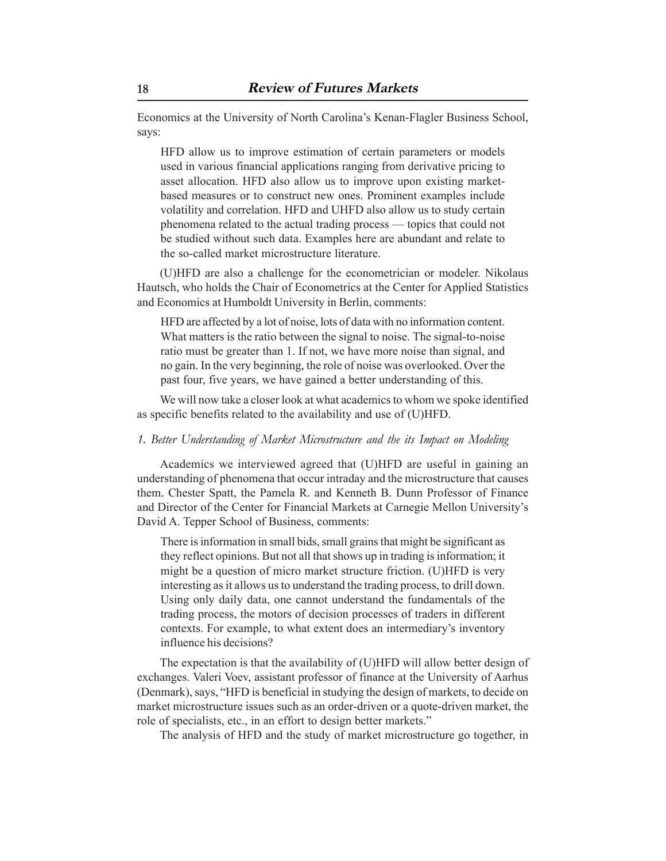Economics at the University of North Carolina's Kenan-Flagler Business School, says:

HFD allow us to improve estimation of certain parameters or models used in various financial applications ranging from derivative pricing to asset allocation. HFD also allow us to improve upon existing marketbased measures or to construct new ones. Prominent examples include volatility and correlation. HFD and UHFD also allow us to study certain phenomena related to the actual trading process — topics that could not be studied without such data. Examples here are abundant and relate to the so-called market microstructure literature.

(U)HFD are also a challenge for the econometrician or modeler. Nikolaus Hautsch, who holds the Chair of Econometrics at the Center for Applied Statistics and Economics at Humboldt University in Berlin, comments:

HFD are affected by a lot of noise, lots of data with no information content. What matters is the ratio between the signal to noise. The signal-to-noise ratio must be greater than 1. If not, we have more noise than signal, and no gain. In the very beginning, the role of noise was overlooked. Over the past four, five years, we have gained a better understanding of this.

We will now take a closer look at what academics to whom we spoke identified as specific benefits related to the availability and use of (U)HFD.

#### *1. Better Understanding of Market Microstructure and the its Impact on Modeling*

Academics we interviewed agreed that (U)HFD are useful in gaining an understanding of phenomena that occur intraday and the microstructure that causes them. Chester Spatt, the Pamela R. and Kenneth B. Dunn Professor of Finance and Director of the Center for Financial Markets at Carnegie Mellon University's David A. Tepper School of Business, comments:

There is information in small bids, small grains that might be significant as they reflect opinions. But not all that shows up in trading is information; it might be a question of micro market structure friction. (U)HFD is very interesting as it allows us to understand the trading process, to drill down. Using only daily data, one cannot understand the fundamentals of the trading process, the motors of decision processes of traders in different contexts. For example, to what extent does an intermediary's inventory influence his decisions?

The expectation is that the availability of (U)HFD will allow better design of exchanges. Valeri Voev, assistant professor of finance at the University of Aarhus (Denmark), says, "HFD is beneficial in studying the design of markets, to decide on market microstructure issues such as an order-driven or a quote-driven market, the role of specialists, etc., in an effort to design better markets."

The analysis of HFD and the study of market microstructure go together, in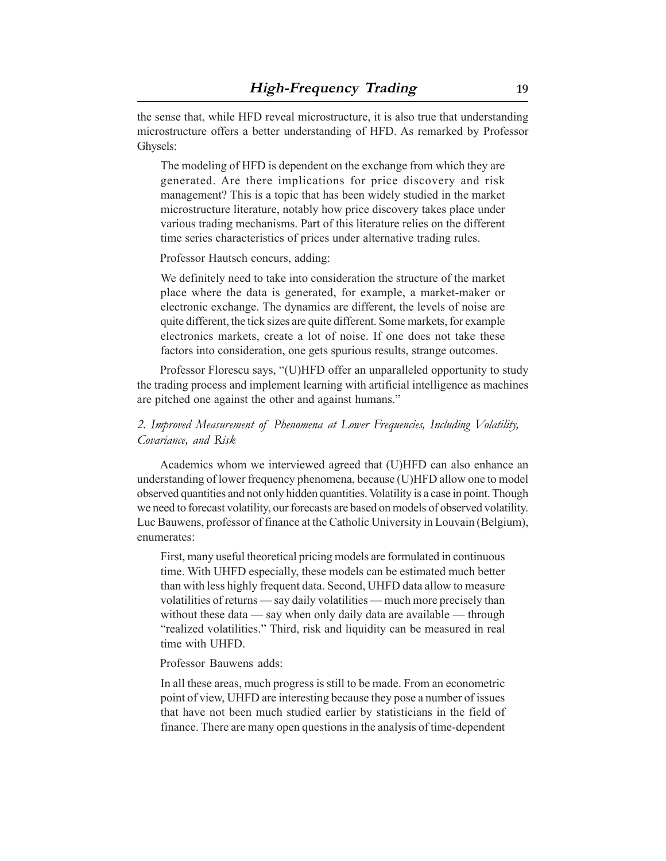the sense that, while HFD reveal microstructure, it is also true that understanding microstructure offers a better understanding of HFD. As remarked by Professor Ghysels:

The modeling of HFD is dependent on the exchange from which they are generated. Are there implications for price discovery and risk management? This is a topic that has been widely studied in the market microstructure literature, notably how price discovery takes place under various trading mechanisms. Part of this literature relies on the different time series characteristics of prices under alternative trading rules.

Professor Hautsch concurs, adding:

We definitely need to take into consideration the structure of the market place where the data is generated, for example, a market-maker or electronic exchange. The dynamics are different, the levels of noise are quite different, the tick sizes are quite different. Some markets, for example electronics markets, create a lot of noise. If one does not take these factors into consideration, one gets spurious results, strange outcomes.

Professor Florescu says, "(U)HFD offer an unparalleled opportunity to study the trading process and implement learning with artificial intelligence as machines are pitched one against the other and against humans."

# *2. Improved Measurement of Phenomena at Lower Frequencies, Including Volatility, Covariance, and Risk*

Academics whom we interviewed agreed that (U)HFD can also enhance an understanding of lower frequency phenomena, because (U)HFD allow one to model observed quantities and not only hidden quantities. Volatility is a case in point. Though we need to forecast volatility, our forecasts are based on models of observed volatility. Luc Bauwens, professor of finance at the Catholic University in Louvain (Belgium), enumerates:

First, many useful theoretical pricing models are formulated in continuous time. With UHFD especially, these models can be estimated much better than with less highly frequent data. Second, UHFD data allow to measure volatilities of returns — say daily volatilities — much more precisely than without these data — say when only daily data are available — through "realized volatilities." Third, risk and liquidity can be measured in real time with UHFD.

Professor Bauwens adds:

In all these areas, much progress is still to be made. From an econometric point of view, UHFD are interesting because they pose a number of issues that have not been much studied earlier by statisticians in the field of finance. There are many open questions in the analysis of time-dependent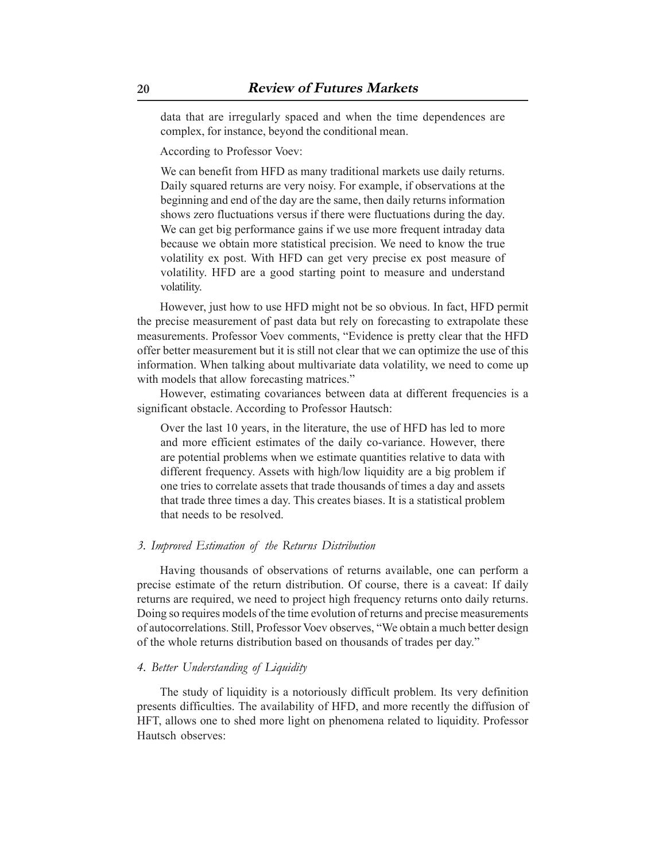data that are irregularly spaced and when the time dependences are complex, for instance, beyond the conditional mean.

According to Professor Voev:

We can benefit from HFD as many traditional markets use daily returns. Daily squared returns are very noisy. For example, if observations at the beginning and end of the day are the same, then daily returns information shows zero fluctuations versus if there were fluctuations during the day. We can get big performance gains if we use more frequent intraday data because we obtain more statistical precision. We need to know the true volatility ex post. With HFD can get very precise ex post measure of volatility. HFD are a good starting point to measure and understand volatility.

However, just how to use HFD might not be so obvious. In fact, HFD permit the precise measurement of past data but rely on forecasting to extrapolate these measurements. Professor Voev comments, "Evidence is pretty clear that the HFD offer better measurement but it is still not clear that we can optimize the use of this information. When talking about multivariate data volatility, we need to come up with models that allow forecasting matrices."

However, estimating covariances between data at different frequencies is a significant obstacle. According to Professor Hautsch:

Over the last 10 years, in the literature, the use of HFD has led to more and more efficient estimates of the daily co-variance. However, there are potential problems when we estimate quantities relative to data with different frequency. Assets with high/low liquidity are a big problem if one tries to correlate assets that trade thousands of times a day and assets that trade three times a day. This creates biases. It is a statistical problem that needs to be resolved.

#### *3. Improved Estimation of the Returns Distribution*

Having thousands of observations of returns available, one can perform a precise estimate of the return distribution. Of course, there is a caveat: If daily returns are required, we need to project high frequency returns onto daily returns. Doing so requires models of the time evolution of returns and precise measurements of autocorrelations. Still, Professor Voev observes, "We obtain a much better design of the whole returns distribution based on thousands of trades per day."

#### *4. Better Understanding of Liquidity*

The study of liquidity is a notoriously difficult problem. Its very definition presents difficulties. The availability of HFD, and more recently the diffusion of HFT, allows one to shed more light on phenomena related to liquidity. Professor Hautsch observes: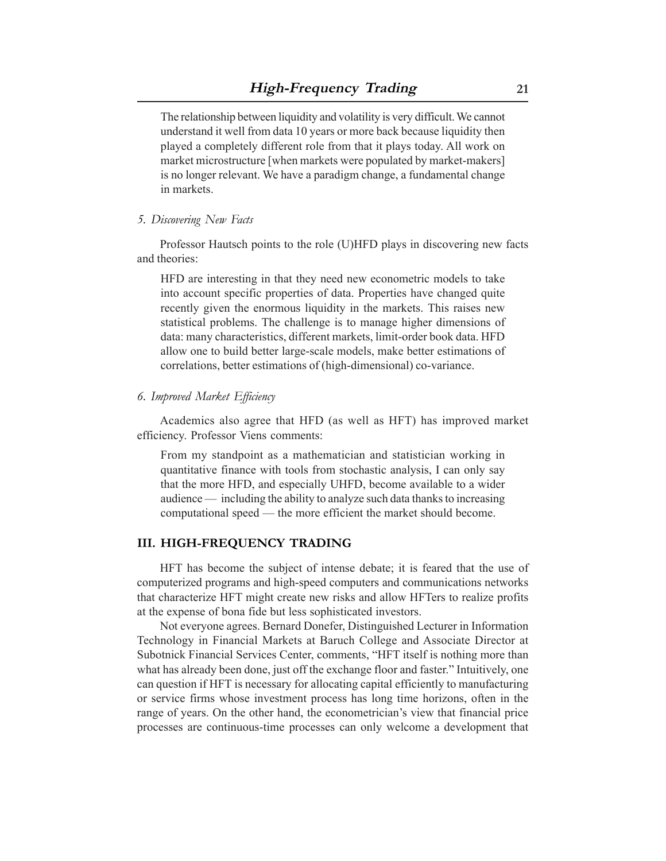The relationship between liquidity and volatility is very difficult. We cannot understand it well from data 10 years or more back because liquidity then played a completely different role from that it plays today. All work on market microstructure [when markets were populated by market-makers] is no longer relevant. We have a paradigm change, a fundamental change in markets.

#### *5. Discovering New Facts*

Professor Hautsch points to the role (U)HFD plays in discovering new facts and theories:

HFD are interesting in that they need new econometric models to take into account specific properties of data. Properties have changed quite recently given the enormous liquidity in the markets. This raises new statistical problems. The challenge is to manage higher dimensions of data: many characteristics, different markets, limit-order book data. HFD allow one to build better large-scale models, make better estimations of correlations, better estimations of (high-dimensional) co-variance.

#### *6. Improved Market Efficiency*

Academics also agree that HFD (as well as HFT) has improved market efficiency. Professor Viens comments:

From my standpoint as a mathematician and statistician working in quantitative finance with tools from stochastic analysis, I can only say that the more HFD, and especially UHFD, become available to a wider audience — including the ability to analyze such data thanks to increasing computational speed — the more efficient the market should become.

# **III. HIGH-FREQUENCY TRADING**

HFT has become the subject of intense debate; it is feared that the use of computerized programs and high-speed computers and communications networks that characterize HFT might create new risks and allow HFTers to realize profits at the expense of bona fide but less sophisticated investors.

Not everyone agrees. Bernard Donefer, Distinguished Lecturer in Information Technology in Financial Markets at Baruch College and Associate Director at Subotnick Financial Services Center, comments, "HFT itself is nothing more than what has already been done, just off the exchange floor and faster." Intuitively, one can question if HFT is necessary for allocating capital efficiently to manufacturing or service firms whose investment process has long time horizons, often in the range of years. On the other hand, the econometrician's view that financial price processes are continuous-time processes can only welcome a development that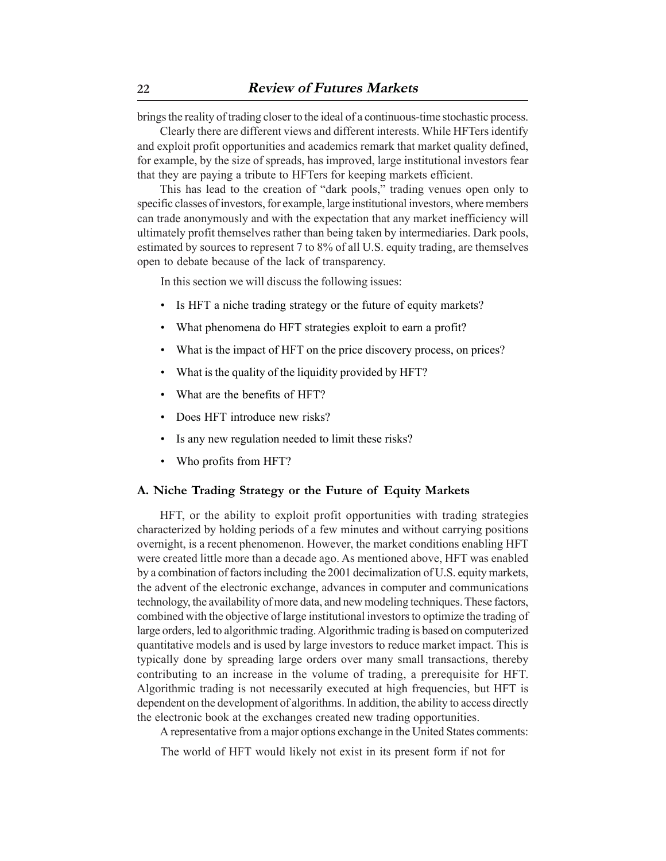brings the reality of trading closer to the ideal of a continuous-time stochastic process.

Clearly there are different views and different interests. While HFTers identify and exploit profit opportunities and academics remark that market quality defined, for example, by the size of spreads, has improved, large institutional investors fear that they are paying a tribute to HFTers for keeping markets efficient.

This has lead to the creation of "dark pools," trading venues open only to specific classes of investors, for example, large institutional investors, where members can trade anonymously and with the expectation that any market inefficiency will ultimately profit themselves rather than being taken by intermediaries. Dark pools, estimated by sources to represent 7 to 8% of all U.S. equity trading, are themselves open to debate because of the lack of transparency.

In this section we will discuss the following issues:

- Is HFT a niche trading strategy or the future of equity markets?
- What phenomena do HFT strategies exploit to earn a profit?
- What is the impact of HFT on the price discovery process, on prices?
- What is the quality of the liquidity provided by HFT?
- What are the benefits of HFT?
- Does HFT introduce new risks?
- Is any new regulation needed to limit these risks?
- Who profits from HFT?

### **A. Niche Trading Strategy or the Future of Equity Markets**

HFT, or the ability to exploit profit opportunities with trading strategies characterized by holding periods of a few minutes and without carrying positions overnight, is a recent phenomenon. However, the market conditions enabling HFT were created little more than a decade ago. As mentioned above, HFT was enabled by a combination of factors including the 2001 decimalization of U.S. equity markets, the advent of the electronic exchange, advances in computer and communications technology, the availability of more data, and new modeling techniques. These factors, combined with the objective of large institutional investors to optimize the trading of large orders, led to algorithmic trading. Algorithmic trading is based on computerized quantitative models and is used by large investors to reduce market impact. This is typically done by spreading large orders over many small transactions, thereby contributing to an increase in the volume of trading, a prerequisite for HFT. Algorithmic trading is not necessarily executed at high frequencies, but HFT is dependent on the development of algorithms. In addition, the ability to access directly the electronic book at the exchanges created new trading opportunities.

A representative from a major options exchange in the United States comments:

The world of HFT would likely not exist in its present form if not for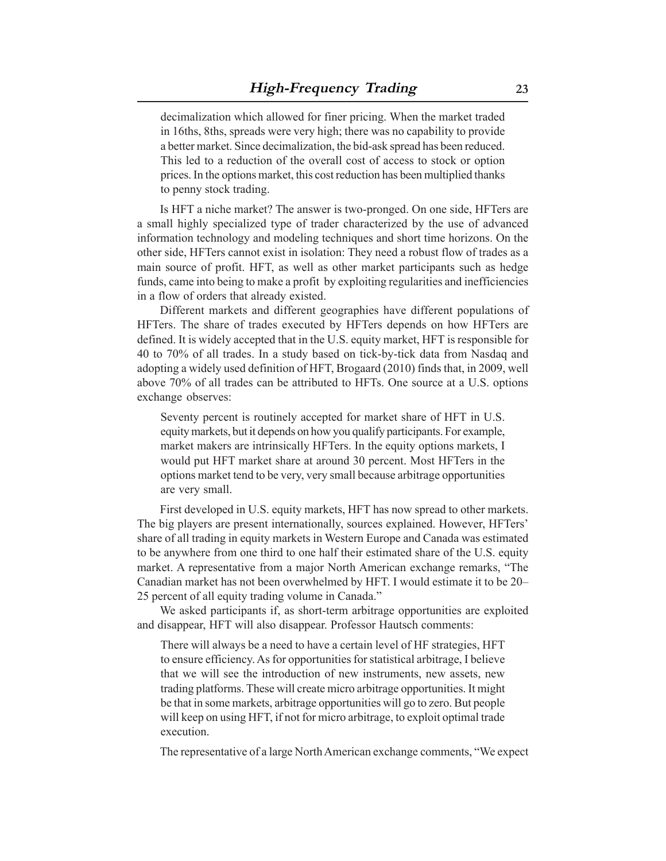decimalization which allowed for finer pricing. When the market traded in 16ths, 8ths, spreads were very high; there was no capability to provide a better market. Since decimalization, the bid-ask spread has been reduced. This led to a reduction of the overall cost of access to stock or option prices. In the options market, this cost reduction has been multiplied thanks to penny stock trading.

Is HFT a niche market? The answer is two-pronged. On one side, HFTers are a small highly specialized type of trader characterized by the use of advanced information technology and modeling techniques and short time horizons. On the other side, HFTers cannot exist in isolation: They need a robust flow of trades as a main source of profit. HFT, as well as other market participants such as hedge funds, came into being to make a profit by exploiting regularities and inefficiencies in a flow of orders that already existed.

Different markets and different geographies have different populations of HFTers. The share of trades executed by HFTers depends on how HFTers are defined. It is widely accepted that in the U.S. equity market, HFT is responsible for 40 to 70% of all trades. In a study based on tick-by-tick data from Nasdaq and adopting a widely used definition of HFT, Brogaard (2010) finds that, in 2009, well above 70% of all trades can be attributed to HFTs. One source at a U.S. options exchange observes:

Seventy percent is routinely accepted for market share of HFT in U.S. equity markets, but it depends on how you qualify participants. For example, market makers are intrinsically HFTers. In the equity options markets, I would put HFT market share at around 30 percent. Most HFTers in the options market tend to be very, very small because arbitrage opportunities are very small.

First developed in U.S. equity markets, HFT has now spread to other markets. The big players are present internationally, sources explained. However, HFTers' share of all trading in equity markets in Western Europe and Canada was estimated to be anywhere from one third to one half their estimated share of the U.S. equity market. A representative from a major North American exchange remarks, "The Canadian market has not been overwhelmed by HFT. I would estimate it to be 20– 25 percent of all equity trading volume in Canada."

We asked participants if, as short-term arbitrage opportunities are exploited and disappear, HFT will also disappear. Professor Hautsch comments:

There will always be a need to have a certain level of HF strategies, HFT to ensure efficiency. As for opportunities for statistical arbitrage, I believe that we will see the introduction of new instruments, new assets, new trading platforms. These will create micro arbitrage opportunities. It might be that in some markets, arbitrage opportunities will go to zero. But people will keep on using HFT, if not for micro arbitrage, to exploit optimal trade execution.

The representative of a large North American exchange comments, "We expect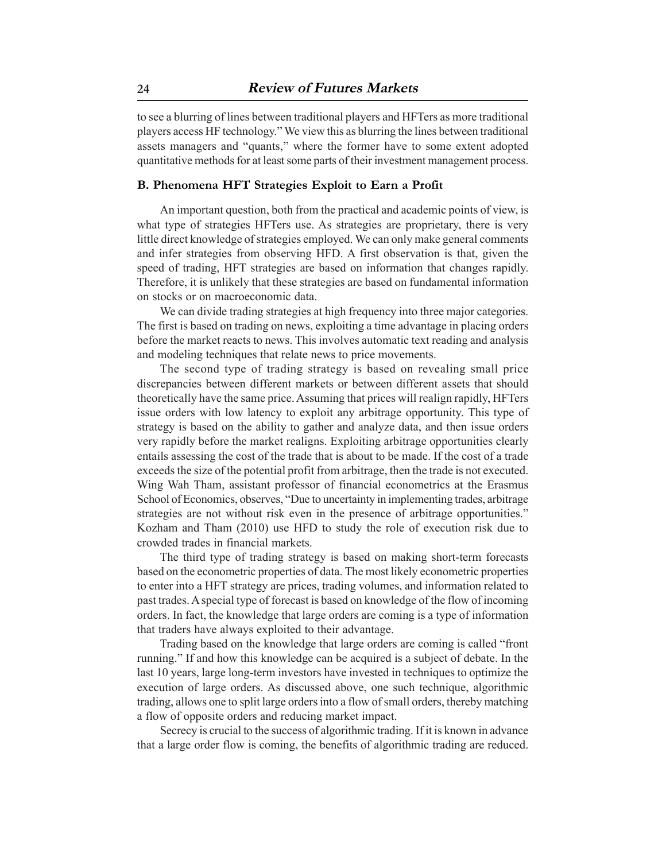to see a blurring of lines between traditional players and HFTers as more traditional players access HF technology." We view this as blurring the lines between traditional assets managers and "quants," where the former have to some extent adopted quantitative methods for at least some parts of their investment management process.

# **B. Phenomena HFT Strategies Exploit to Earn a Profit**

An important question, both from the practical and academic points of view, is what type of strategies HFTers use. As strategies are proprietary, there is very little direct knowledge of strategies employed. We can only make general comments and infer strategies from observing HFD. A first observation is that, given the speed of trading, HFT strategies are based on information that changes rapidly. Therefore, it is unlikely that these strategies are based on fundamental information on stocks or on macroeconomic data.

We can divide trading strategies at high frequency into three major categories. The first is based on trading on news, exploiting a time advantage in placing orders before the market reacts to news. This involves automatic text reading and analysis and modeling techniques that relate news to price movements.

The second type of trading strategy is based on revealing small price discrepancies between different markets or between different assets that should theoretically have the same price. Assuming that prices will realign rapidly, HFTers issue orders with low latency to exploit any arbitrage opportunity. This type of strategy is based on the ability to gather and analyze data, and then issue orders very rapidly before the market realigns. Exploiting arbitrage opportunities clearly entails assessing the cost of the trade that is about to be made. If the cost of a trade exceeds the size of the potential profit from arbitrage, then the trade is not executed. Wing Wah Tham, assistant professor of financial econometrics at the Erasmus School of Economics, observes, "Due to uncertainty in implementing trades, arbitrage strategies are not without risk even in the presence of arbitrage opportunities." Kozham and Tham (2010) use HFD to study the role of execution risk due to crowded trades in financial markets.

The third type of trading strategy is based on making short-term forecasts based on the econometric properties of data. The most likely econometric properties to enter into a HFT strategy are prices, trading volumes, and information related to past trades. A special type of forecast is based on knowledge of the flow of incoming orders. In fact, the knowledge that large orders are coming is a type of information that traders have always exploited to their advantage.

Trading based on the knowledge that large orders are coming is called "front running." If and how this knowledge can be acquired is a subject of debate. In the last 10 years, large long-term investors have invested in techniques to optimize the execution of large orders. As discussed above, one such technique, algorithmic trading, allows one to split large orders into a flow of small orders, thereby matching a flow of opposite orders and reducing market impact.

Secrecy is crucial to the success of algorithmic trading. If it is known in advance that a large order flow is coming, the benefits of algorithmic trading are reduced.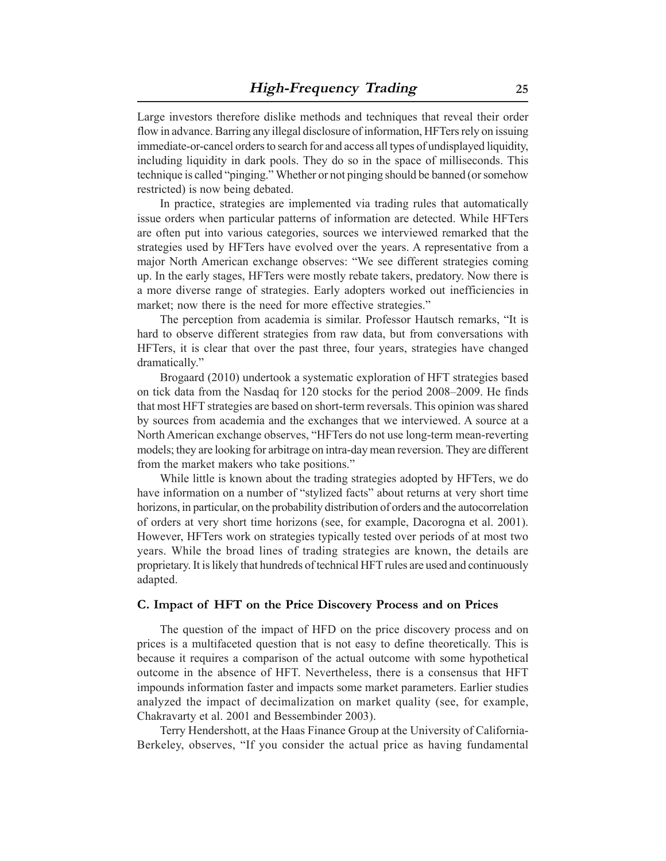Large investors therefore dislike methods and techniques that reveal their order flow in advance. Barring any illegal disclosure of information, HFTers rely on issuing immediate-or-cancel orders to search for and access all types of undisplayed liquidity, including liquidity in dark pools. They do so in the space of milliseconds. This technique is called "pinging." Whether or not pinging should be banned (or somehow restricted) is now being debated.

In practice, strategies are implemented via trading rules that automatically issue orders when particular patterns of information are detected. While HFTers are often put into various categories, sources we interviewed remarked that the strategies used by HFTers have evolved over the years. A representative from a major North American exchange observes: "We see different strategies coming up. In the early stages, HFTers were mostly rebate takers, predatory. Now there is a more diverse range of strategies. Early adopters worked out inefficiencies in market; now there is the need for more effective strategies."

The perception from academia is similar. Professor Hautsch remarks, "It is hard to observe different strategies from raw data, but from conversations with HFTers, it is clear that over the past three, four years, strategies have changed dramatically."

Brogaard (2010) undertook a systematic exploration of HFT strategies based on tick data from the Nasdaq for 120 stocks for the period 2008–2009. He finds that most HFT strategies are based on short-term reversals. This opinion was shared by sources from academia and the exchanges that we interviewed. A source at a North American exchange observes, "HFTers do not use long-term mean-reverting models; they are looking for arbitrage on intra-day mean reversion. They are different from the market makers who take positions."

While little is known about the trading strategies adopted by HFTers, we do have information on a number of "stylized facts" about returns at very short time horizons, in particular, on the probability distribution of orders and the autocorrelation of orders at very short time horizons (see, for example, Dacorogna et al. 2001). However, HFTers work on strategies typically tested over periods of at most two years. While the broad lines of trading strategies are known, the details are proprietary. It is likely that hundreds of technical HFT rules are used and continuously adapted.

#### **C. Impact of HFT on the Price Discovery Process and on Prices**

The question of the impact of HFD on the price discovery process and on prices is a multifaceted question that is not easy to define theoretically. This is because it requires a comparison of the actual outcome with some hypothetical outcome in the absence of HFT. Nevertheless, there is a consensus that HFT impounds information faster and impacts some market parameters. Earlier studies analyzed the impact of decimalization on market quality (see, for example, Chakravarty et al. 2001 and Bessembinder 2003).

Terry Hendershott, at the Haas Finance Group at the University of California-Berkeley, observes, "If you consider the actual price as having fundamental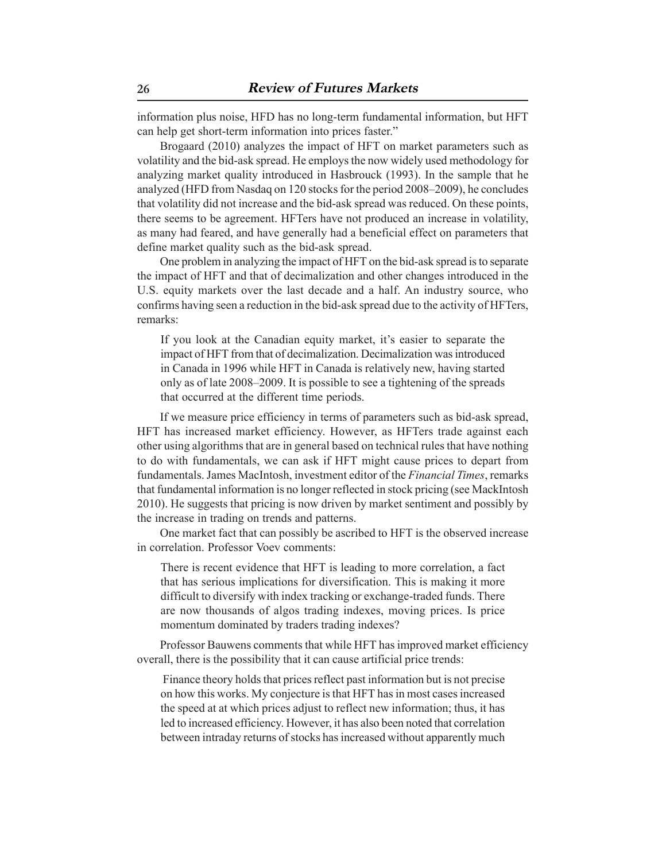information plus noise, HFD has no long-term fundamental information, but HFT can help get short-term information into prices faster."

Brogaard (2010) analyzes the impact of HFT on market parameters such as volatility and the bid-ask spread. He employs the now widely used methodology for analyzing market quality introduced in Hasbrouck (1993). In the sample that he analyzed (HFD from Nasdaq on 120 stocks for the period 2008–2009), he concludes that volatility did not increase and the bid-ask spread was reduced. On these points, there seems to be agreement. HFTers have not produced an increase in volatility, as many had feared, and have generally had a beneficial effect on parameters that define market quality such as the bid-ask spread.

One problem in analyzing the impact of HFT on the bid-ask spread is to separate the impact of HFT and that of decimalization and other changes introduced in the U.S. equity markets over the last decade and a half. An industry source, who confirms having seen a reduction in the bid-ask spread due to the activity of HFTers, remarks:

If you look at the Canadian equity market, it's easier to separate the impact of HFT from that of decimalization. Decimalization was introduced in Canada in 1996 while HFT in Canada is relatively new, having started only as of late 2008–2009. It is possible to see a tightening of the spreads that occurred at the different time periods.

If we measure price efficiency in terms of parameters such as bid-ask spread, HFT has increased market efficiency. However, as HFTers trade against each other using algorithms that are in general based on technical rules that have nothing to do with fundamentals, we can ask if HFT might cause prices to depart from fundamentals. James MacIntosh, investment editor of the *Financial Times*, remarks that fundamental information is no longer reflected in stock pricing (see MackIntosh 2010). He suggests that pricing is now driven by market sentiment and possibly by the increase in trading on trends and patterns.

One market fact that can possibly be ascribed to HFT is the observed increase in correlation. Professor Voev comments:

There is recent evidence that HFT is leading to more correlation, a fact that has serious implications for diversification. This is making it more difficult to diversify with index tracking or exchange-traded funds. There are now thousands of algos trading indexes, moving prices. Is price momentum dominated by traders trading indexes?

Professor Bauwens comments that while HFT has improved market efficiency overall, there is the possibility that it can cause artificial price trends:

 Finance theory holds that prices reflect past information but is not precise on how this works. My conjecture is that HFT has in most cases increased the speed at at which prices adjust to reflect new information; thus, it has led to increased efficiency. However, it has also been noted that correlation between intraday returns of stocks has increased without apparently much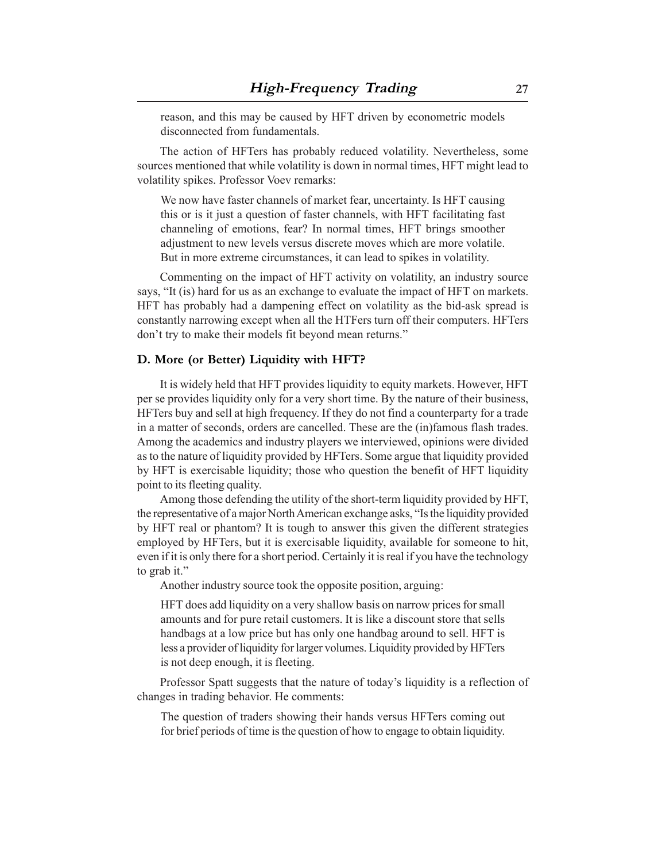reason, and this may be caused by HFT driven by econometric models disconnected from fundamentals.

The action of HFTers has probably reduced volatility. Nevertheless, some sources mentioned that while volatility is down in normal times, HFT might lead to volatility spikes. Professor Voev remarks:

We now have faster channels of market fear, uncertainty. Is HFT causing this or is it just a question of faster channels, with HFT facilitating fast channeling of emotions, fear? In normal times, HFT brings smoother adjustment to new levels versus discrete moves which are more volatile. But in more extreme circumstances, it can lead to spikes in volatility.

Commenting on the impact of HFT activity on volatility, an industry source says, "It (is) hard for us as an exchange to evaluate the impact of HFT on markets. HFT has probably had a dampening effect on volatility as the bid-ask spread is constantly narrowing except when all the HTFers turn off their computers. HFTers don't try to make their models fit beyond mean returns."

#### **D. More (or Better) Liquidity with HFT?**

It is widely held that HFT provides liquidity to equity markets. However, HFT per se provides liquidity only for a very short time. By the nature of their business, HFTers buy and sell at high frequency. If they do not find a counterparty for a trade in a matter of seconds, orders are cancelled. These are the (in)famous flash trades. Among the academics and industry players we interviewed, opinions were divided as to the nature of liquidity provided by HFTers. Some argue that liquidity provided by HFT is exercisable liquidity; those who question the benefit of HFT liquidity point to its fleeting quality.

Among those defending the utility of the short-term liquidity provided by HFT, the representative of a major North American exchange asks, "Is the liquidity provided by HFT real or phantom? It is tough to answer this given the different strategies employed by HFTers, but it is exercisable liquidity, available for someone to hit, even if it is only there for a short period. Certainly it is real if you have the technology to grab it."

Another industry source took the opposite position, arguing:

HFT does add liquidity on a very shallow basis on narrow prices for small amounts and for pure retail customers. It is like a discount store that sells handbags at a low price but has only one handbag around to sell. HFT is less a provider of liquidity for larger volumes. Liquidity provided by HFTers is not deep enough, it is fleeting.

Professor Spatt suggests that the nature of today's liquidity is a reflection of changes in trading behavior. He comments:

The question of traders showing their hands versus HFTers coming out for brief periods of time is the question of how to engage to obtain liquidity.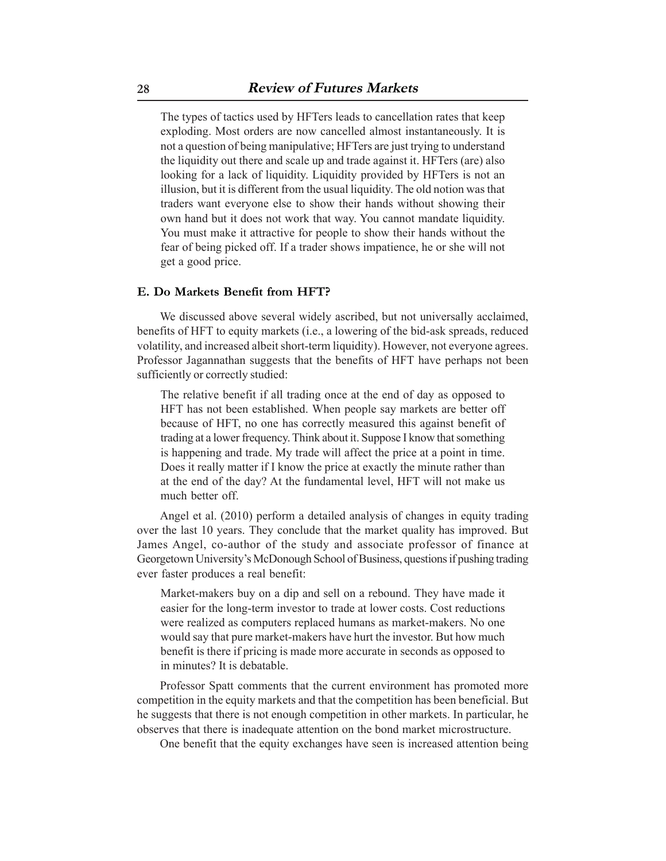The types of tactics used by HFTers leads to cancellation rates that keep exploding. Most orders are now cancelled almost instantaneously. It is not a question of being manipulative; HFTers are just trying to understand the liquidity out there and scale up and trade against it. HFTers (are) also looking for a lack of liquidity. Liquidity provided by HFTers is not an illusion, but it is different from the usual liquidity. The old notion was that traders want everyone else to show their hands without showing their own hand but it does not work that way. You cannot mandate liquidity. You must make it attractive for people to show their hands without the fear of being picked off. If a trader shows impatience, he or she will not get a good price.

#### **E. Do Markets Benefit from HFT?**

We discussed above several widely ascribed, but not universally acclaimed, benefits of HFT to equity markets (i.e., a lowering of the bid-ask spreads, reduced volatility, and increased albeit short-term liquidity). However, not everyone agrees. Professor Jagannathan suggests that the benefits of HFT have perhaps not been sufficiently or correctly studied:

The relative benefit if all trading once at the end of day as opposed to HFT has not been established. When people say markets are better off because of HFT, no one has correctly measured this against benefit of trading at a lower frequency. Think about it. Suppose I know that something is happening and trade. My trade will affect the price at a point in time. Does it really matter if I know the price at exactly the minute rather than at the end of the day? At the fundamental level, HFT will not make us much better off.

Angel et al. (2010) perform a detailed analysis of changes in equity trading over the last 10 years. They conclude that the market quality has improved. But James Angel, co-author of the study and associate professor of finance at Georgetown University's McDonough School of Business, questions if pushing trading ever faster produces a real benefit:

Market-makers buy on a dip and sell on a rebound. They have made it easier for the long-term investor to trade at lower costs. Cost reductions were realized as computers replaced humans as market-makers. No one would say that pure market-makers have hurt the investor. But how much benefit is there if pricing is made more accurate in seconds as opposed to in minutes? It is debatable.

Professor Spatt comments that the current environment has promoted more competition in the equity markets and that the competition has been beneficial. But he suggests that there is not enough competition in other markets. In particular, he observes that there is inadequate attention on the bond market microstructure.

One benefit that the equity exchanges have seen is increased attention being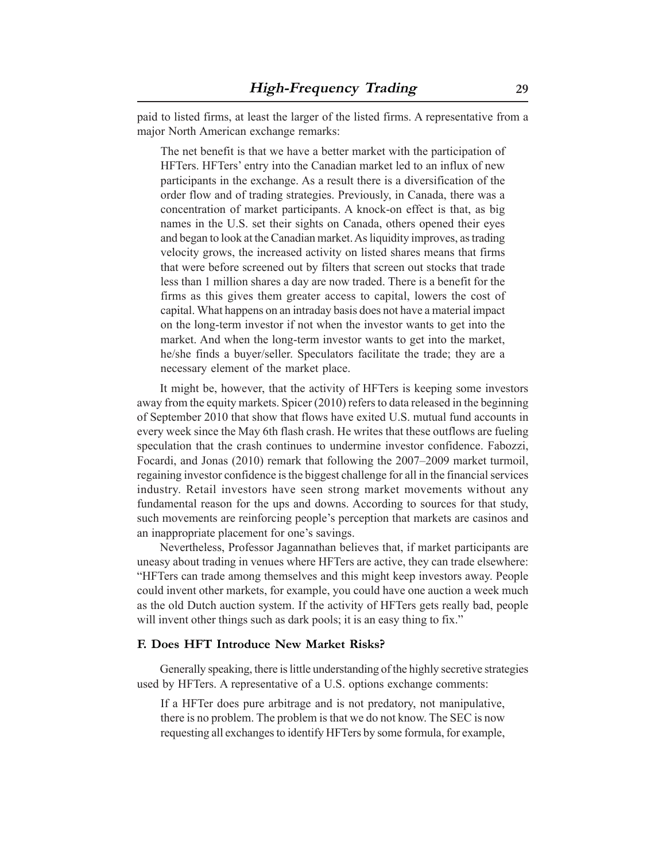paid to listed firms, at least the larger of the listed firms. A representative from a major North American exchange remarks:

The net benefit is that we have a better market with the participation of HFTers. HFTers' entry into the Canadian market led to an influx of new participants in the exchange. As a result there is a diversification of the order flow and of trading strategies. Previously, in Canada, there was a concentration of market participants. A knock-on effect is that, as big names in the U.S. set their sights on Canada, others opened their eyes and began to look at the Canadian market. As liquidity improves, as trading velocity grows, the increased activity on listed shares means that firms that were before screened out by filters that screen out stocks that trade less than 1 million shares a day are now traded. There is a benefit for the firms as this gives them greater access to capital, lowers the cost of capital. What happens on an intraday basis does not have a material impact on the long-term investor if not when the investor wants to get into the market. And when the long-term investor wants to get into the market, he/she finds a buyer/seller. Speculators facilitate the trade; they are a necessary element of the market place.

It might be, however, that the activity of HFTers is keeping some investors away from the equity markets. Spicer (2010) refers to data released in the beginning of September 2010 that show that flows have exited U.S. mutual fund accounts in every week since the May 6th flash crash. He writes that these outflows are fueling speculation that the crash continues to undermine investor confidence. Fabozzi, Focardi, and Jonas (2010) remark that following the 2007–2009 market turmoil, regaining investor confidence is the biggest challenge for all in the financial services industry. Retail investors have seen strong market movements without any fundamental reason for the ups and downs. According to sources for that study, such movements are reinforcing people's perception that markets are casinos and an inappropriate placement for one's savings.

Nevertheless, Professor Jagannathan believes that, if market participants are uneasy about trading in venues where HFTers are active, they can trade elsewhere: "HFTers can trade among themselves and this might keep investors away. People could invent other markets, for example, you could have one auction a week much as the old Dutch auction system. If the activity of HFTers gets really bad, people will invent other things such as dark pools; it is an easy thing to fix."

#### **F. Does HFT Introduce New Market Risks?**

Generally speaking, there is little understanding of the highly secretive strategies used by HFTers. A representative of a U.S. options exchange comments:

If a HFTer does pure arbitrage and is not predatory, not manipulative, there is no problem. The problem is that we do not know. The SEC is now requesting all exchanges to identify HFTers by some formula, for example,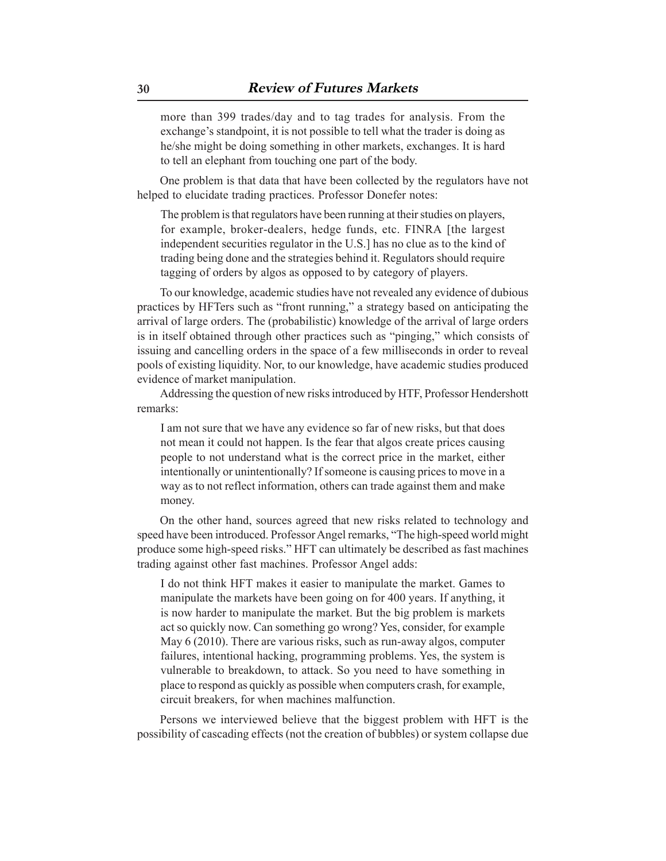more than 399 trades/day and to tag trades for analysis. From the exchange's standpoint, it is not possible to tell what the trader is doing as he/she might be doing something in other markets, exchanges. It is hard to tell an elephant from touching one part of the body.

One problem is that data that have been collected by the regulators have not helped to elucidate trading practices. Professor Donefer notes:

The problem is that regulators have been running at their studies on players, for example, broker-dealers, hedge funds, etc. FINRA [the largest independent securities regulator in the U.S.] has no clue as to the kind of trading being done and the strategies behind it. Regulators should require tagging of orders by algos as opposed to by category of players.

To our knowledge, academic studies have not revealed any evidence of dubious practices by HFTers such as "front running," a strategy based on anticipating the arrival of large orders. The (probabilistic) knowledge of the arrival of large orders is in itself obtained through other practices such as "pinging," which consists of issuing and cancelling orders in the space of a few milliseconds in order to reveal pools of existing liquidity. Nor, to our knowledge, have academic studies produced evidence of market manipulation.

Addressing the question of new risks introduced by HTF, Professor Hendershott remarks:

I am not sure that we have any evidence so far of new risks, but that does not mean it could not happen. Is the fear that algos create prices causing people to not understand what is the correct price in the market, either intentionally or unintentionally? If someone is causing prices to move in a way as to not reflect information, others can trade against them and make money.

On the other hand, sources agreed that new risks related to technology and speed have been introduced. Professor Angel remarks, "The high-speed world might produce some high-speed risks." HFT can ultimately be described as fast machines trading against other fast machines. Professor Angel adds:

I do not think HFT makes it easier to manipulate the market. Games to manipulate the markets have been going on for 400 years. If anything, it is now harder to manipulate the market. But the big problem is markets act so quickly now. Can something go wrong? Yes, consider, for example May 6 (2010). There are various risks, such as run-away algos, computer failures, intentional hacking, programming problems. Yes, the system is vulnerable to breakdown, to attack. So you need to have something in place to respond as quickly as possible when computers crash, for example, circuit breakers, for when machines malfunction.

Persons we interviewed believe that the biggest problem with HFT is the possibility of cascading effects (not the creation of bubbles) or system collapse due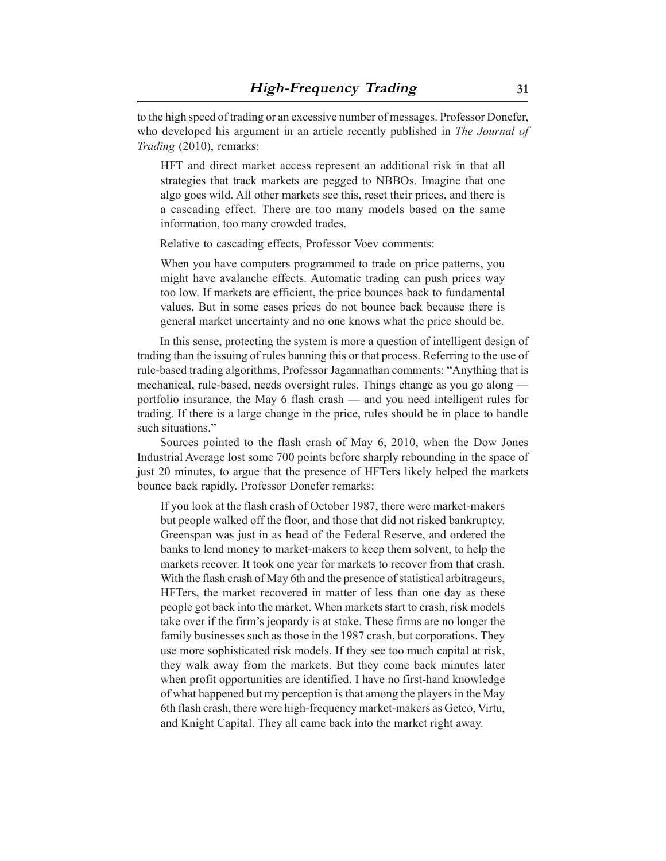to the high speed of trading or an excessive number of messages. Professor Donefer, who developed his argument in an article recently published in *The Journal of Trading* (2010), remarks:

HFT and direct market access represent an additional risk in that all strategies that track markets are pegged to NBBOs. Imagine that one algo goes wild. All other markets see this, reset their prices, and there is a cascading effect. There are too many models based on the same information, too many crowded trades.

Relative to cascading effects, Professor Voev comments:

When you have computers programmed to trade on price patterns, you might have avalanche effects. Automatic trading can push prices way too low. If markets are efficient, the price bounces back to fundamental values. But in some cases prices do not bounce back because there is general market uncertainty and no one knows what the price should be.

In this sense, protecting the system is more a question of intelligent design of trading than the issuing of rules banning this or that process. Referring to the use of rule-based trading algorithms, Professor Jagannathan comments: "Anything that is mechanical, rule-based, needs oversight rules. Things change as you go along portfolio insurance, the May 6 flash crash — and you need intelligent rules for trading. If there is a large change in the price, rules should be in place to handle such situations."

Sources pointed to the flash crash of May 6, 2010, when the Dow Jones Industrial Average lost some 700 points before sharply rebounding in the space of just 20 minutes, to argue that the presence of HFTers likely helped the markets bounce back rapidly. Professor Donefer remarks:

If you look at the flash crash of October 1987, there were market-makers but people walked off the floor, and those that did not risked bankruptcy. Greenspan was just in as head of the Federal Reserve, and ordered the banks to lend money to market-makers to keep them solvent, to help the markets recover. It took one year for markets to recover from that crash. With the flash crash of May 6th and the presence of statistical arbitrageurs, HFTers, the market recovered in matter of less than one day as these people got back into the market. When markets start to crash, risk models take over if the firm's jeopardy is at stake. These firms are no longer the family businesses such as those in the 1987 crash, but corporations. They use more sophisticated risk models. If they see too much capital at risk, they walk away from the markets. But they come back minutes later when profit opportunities are identified. I have no first-hand knowledge of what happened but my perception is that among the players in the May 6th flash crash, there were high-frequency market-makers as Getco, Virtu, and Knight Capital. They all came back into the market right away.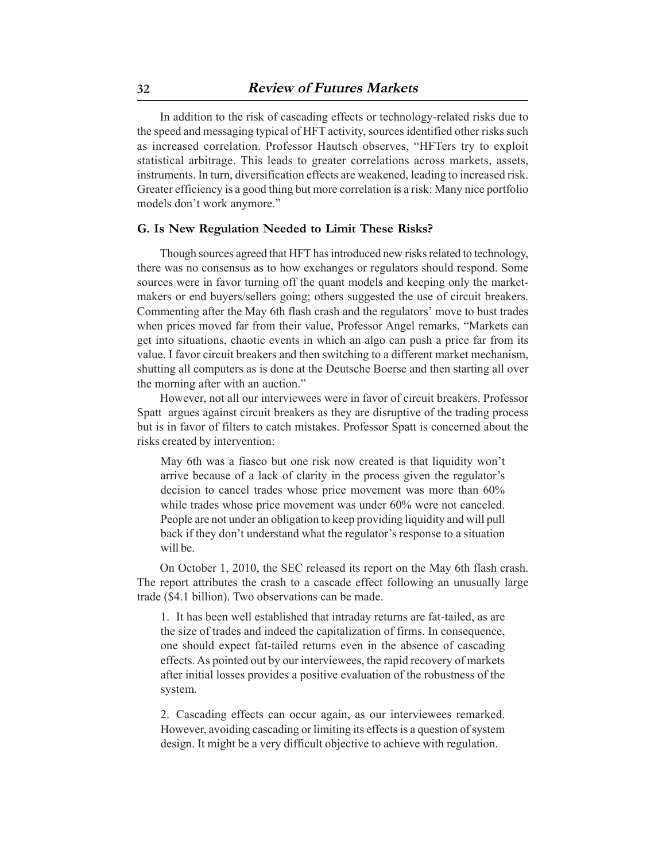In addition to the risk of cascading effects or technology-related risks due to the speed and messaging typical of HFT activity, sources identified other risks such as increased correlation. Professor Hautsch observes, "HFTers try to exploit statistical arbitrage. This leads to greater correlations across markets, assets, instruments. In turn, diversification effects are weakened, leading to increased risk. Greater efficiency is a good thing but more correlation is a risk: Many nice portfolio models don't work anymore."

#### **G. Is New Regulation Needed to Limit These Risks?**

Though sources agreed that HFT has introduced new risks related to technology, there was no consensus as to how exchanges or regulators should respond. Some sources were in favor turning off the quant models and keeping only the marketmakers or end buyers/sellers going; others suggested the use of circuit breakers. Commenting after the May 6th flash crash and the regulators' move to bust trades when prices moved far from their value, Professor Angel remarks, "Markets can get into situations, chaotic events in which an algo can push a price far from its value. I favor circuit breakers and then switching to a different market mechanism, shutting all computers as is done at the Deutsche Boerse and then starting all over the morning after with an auction."

However, not all our interviewees were in favor of circuit breakers. Professor Spatt argues against circuit breakers as they are disruptive of the trading process but is in favor of filters to catch mistakes. Professor Spatt is concerned about the risks created by intervention:

May 6th was a fiasco but one risk now created is that liquidity won't arrive because of a lack of clarity in the process given the regulator's decision to cancel trades whose price movement was more than 60% while trades whose price movement was under  $60\%$  were not canceled. People are not under an obligation to keep providing liquidity and will pull back if they don't understand what the regulator's response to a situation will be.

On October 1, 2010, the SEC released its report on the May 6th flash crash. The report attributes the crash to a cascade effect following an unusually large trade (\$4.1 billion). Two observations can be made.

1. It has been well established that intraday returns are fat-tailed, as are the size of trades and indeed the capitalization of firms. In consequence, one should expect fat-tailed returns even in the absence of cascading effects. As pointed out by our interviewees, the rapid recovery of markets after initial losses provides a positive evaluation of the robustness of the system.

2. Cascading effects can occur again, as our interviewees remarked. However, avoiding cascading or limiting its effects is a question of system design. It might be a very difficult objective to achieve with regulation.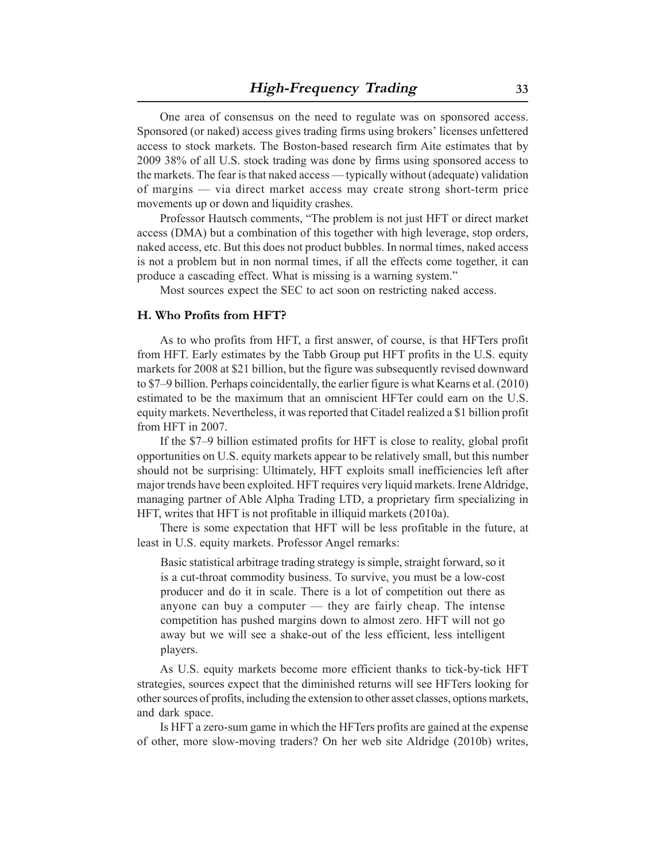One area of consensus on the need to regulate was on sponsored access. Sponsored (or naked) access gives trading firms using brokers' licenses unfettered access to stock markets. The Boston-based research firm Aite estimates that by 2009 38% of all U.S. stock trading was done by firms using sponsored access to the markets. The fear is that naked access — typically without (adequate) validation of margins — via direct market access may create strong short-term price movements up or down and liquidity crashes.

Professor Hautsch comments, "The problem is not just HFT or direct market access (DMA) but a combination of this together with high leverage, stop orders, naked access, etc. But this does not product bubbles. In normal times, naked access is not a problem but in non normal times, if all the effects come together, it can produce a cascading effect. What is missing is a warning system."

Most sources expect the SEC to act soon on restricting naked access.

#### **H. Who Profits from HFT?**

As to who profits from HFT, a first answer, of course, is that HFTers profit from HFT. Early estimates by the Tabb Group put HFT profits in the U.S. equity markets for 2008 at \$21 billion, but the figure was subsequently revised downward to \$7–9 billion. Perhaps coincidentally, the earlier figure is what Kearns et al. (2010) estimated to be the maximum that an omniscient HFTer could earn on the U.S. equity markets. Nevertheless, it was reported that Citadel realized a \$1 billion profit from HFT in 2007.

If the \$7–9 billion estimated profits for HFT is close to reality, global profit opportunities on U.S. equity markets appear to be relatively small, but this number should not be surprising: Ultimately, HFT exploits small inefficiencies left after major trends have been exploited. HFT requires very liquid markets. Irene Aldridge, managing partner of Able Alpha Trading LTD, a proprietary firm specializing in HFT, writes that HFT is not profitable in illiquid markets (2010a).

There is some expectation that HFT will be less profitable in the future, at least in U.S. equity markets. Professor Angel remarks:

Basic statistical arbitrage trading strategy is simple, straight forward, so it is a cut-throat commodity business. To survive, you must be a low-cost producer and do it in scale. There is a lot of competition out there as anyone can buy a computer — they are fairly cheap. The intense competition has pushed margins down to almost zero. HFT will not go away but we will see a shake-out of the less efficient, less intelligent players.

As U.S. equity markets become more efficient thanks to tick-by-tick HFT strategies, sources expect that the diminished returns will see HFTers looking for other sources of profits, including the extension to other asset classes, options markets, and dark space.

Is HFT a zero-sum game in which the HFTers profits are gained at the expense of other, more slow-moving traders? On her web site Aldridge (2010b) writes,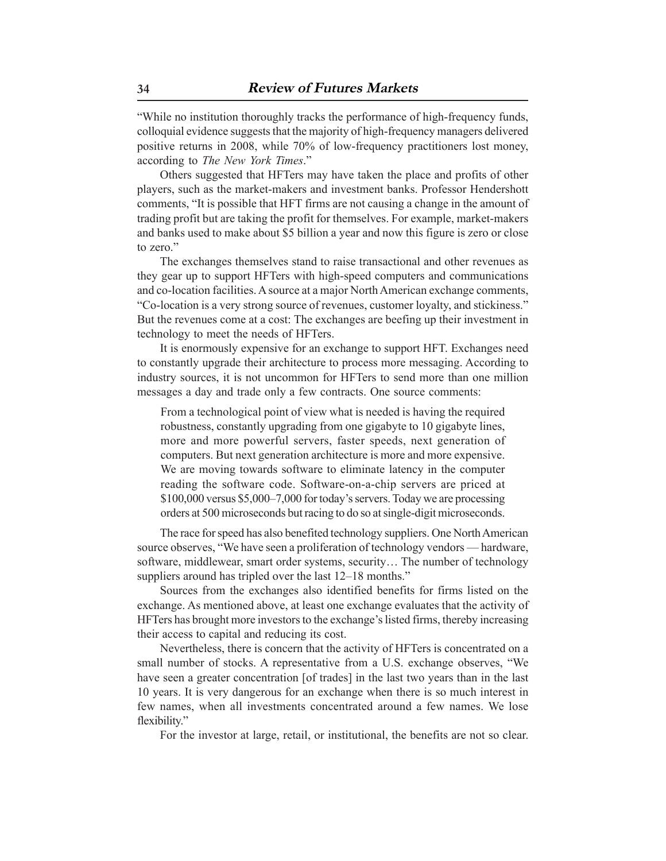"While no institution thoroughly tracks the performance of high-frequency funds, colloquial evidence suggests that the majority of high-frequency managers delivered positive returns in 2008, while 70% of low-frequency practitioners lost money, according to *The New York Times*."

Others suggested that HFTers may have taken the place and profits of other players, such as the market-makers and investment banks. Professor Hendershott comments, "It is possible that HFT firms are not causing a change in the amount of trading profit but are taking the profit for themselves. For example, market-makers and banks used to make about \$5 billion a year and now this figure is zero or close to zero."

The exchanges themselves stand to raise transactional and other revenues as they gear up to support HFTers with high-speed computers and communications and co-location facilities. A source at a major North American exchange comments, "Co-location is a very strong source of revenues, customer loyalty, and stickiness." But the revenues come at a cost: The exchanges are beefing up their investment in technology to meet the needs of HFTers.

It is enormously expensive for an exchange to support HFT. Exchanges need to constantly upgrade their architecture to process more messaging. According to industry sources, it is not uncommon for HFTers to send more than one million messages a day and trade only a few contracts. One source comments:

From a technological point of view what is needed is having the required robustness, constantly upgrading from one gigabyte to 10 gigabyte lines, more and more powerful servers, faster speeds, next generation of computers. But next generation architecture is more and more expensive. We are moving towards software to eliminate latency in the computer reading the software code. Software-on-a-chip servers are priced at \$100,000 versus \$5,000–7,000 for today's servers. Today we are processing orders at 500 microseconds but racing to do so at single-digit microseconds.

The race for speed has also benefited technology suppliers. One North American source observes, "We have seen a proliferation of technology vendors — hardware, software, middlewear, smart order systems, security… The number of technology suppliers around has tripled over the last 12–18 months."

Sources from the exchanges also identified benefits for firms listed on the exchange. As mentioned above, at least one exchange evaluates that the activity of HFTers has brought more investors to the exchange's listed firms, thereby increasing their access to capital and reducing its cost.

Nevertheless, there is concern that the activity of HFTers is concentrated on a small number of stocks. A representative from a U.S. exchange observes, "We have seen a greater concentration [of trades] in the last two years than in the last 10 years. It is very dangerous for an exchange when there is so much interest in few names, when all investments concentrated around a few names. We lose flexibility."

For the investor at large, retail, or institutional, the benefits are not so clear.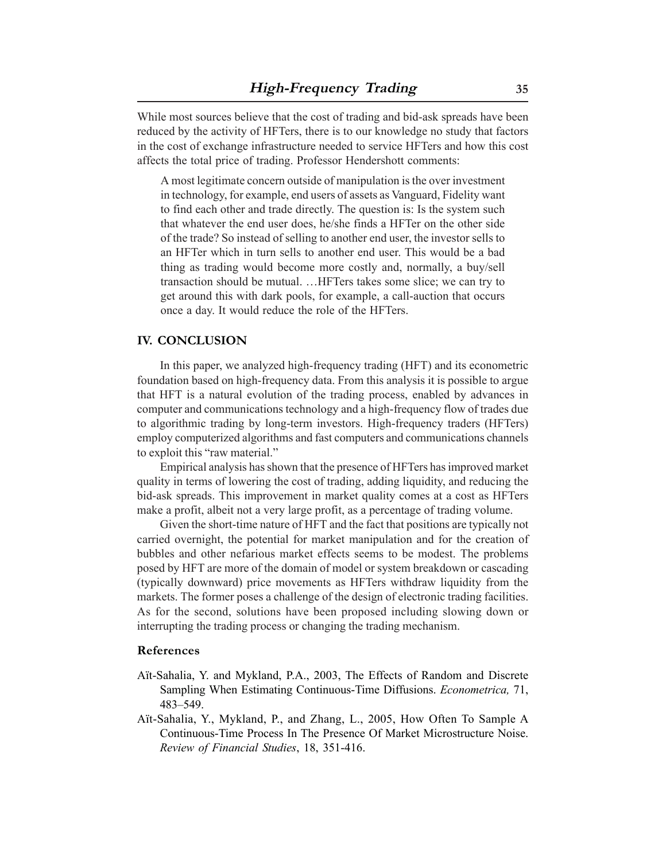While most sources believe that the cost of trading and bid-ask spreads have been reduced by the activity of HFTers, there is to our knowledge no study that factors in the cost of exchange infrastructure needed to service HFTers and how this cost affects the total price of trading. Professor Hendershott comments:

A most legitimate concern outside of manipulation is the over investment in technology, for example, end users of assets as Vanguard, Fidelity want to find each other and trade directly. The question is: Is the system such that whatever the end user does, he/she finds a HFTer on the other side of the trade? So instead of selling to another end user, the investor sells to an HFTer which in turn sells to another end user. This would be a bad thing as trading would become more costly and, normally, a buy/sell transaction should be mutual. …HFTers takes some slice; we can try to get around this with dark pools, for example, a call-auction that occurs once a day. It would reduce the role of the HFTers.

#### **IV. CONCLUSION**

In this paper, we analyzed high-frequency trading (HFT) and its econometric foundation based on high-frequency data. From this analysis it is possible to argue that HFT is a natural evolution of the trading process, enabled by advances in computer and communications technology and a high-frequency flow of trades due to algorithmic trading by long-term investors. High-frequency traders (HFTers) employ computerized algorithms and fast computers and communications channels to exploit this "raw material."

Empirical analysis has shown that the presence of HFTers has improved market quality in terms of lowering the cost of trading, adding liquidity, and reducing the bid-ask spreads. This improvement in market quality comes at a cost as HFTers make a profit, albeit not a very large profit, as a percentage of trading volume.

Given the short-time nature of HFT and the fact that positions are typically not carried overnight, the potential for market manipulation and for the creation of bubbles and other nefarious market effects seems to be modest. The problems posed by HFT are more of the domain of model or system breakdown or cascading (typically downward) price movements as HFTers withdraw liquidity from the markets. The former poses a challenge of the design of electronic trading facilities. As for the second, solutions have been proposed including slowing down or interrupting the trading process or changing the trading mechanism.

#### **References**

- Aït-Sahalia, Y. and Mykland, P.A., 2003, The Effects of Random and Discrete Sampling When Estimating Continuous-Time Diffusions. *Econometrica,* 71, 483–549.
- Aït-Sahalia, Y., Mykland, P., and Zhang, L., 2005, How Often To Sample A Continuous-Time Process In The Presence Of Market Microstructure Noise. *Review of Financial Studies*, 18, 351-416.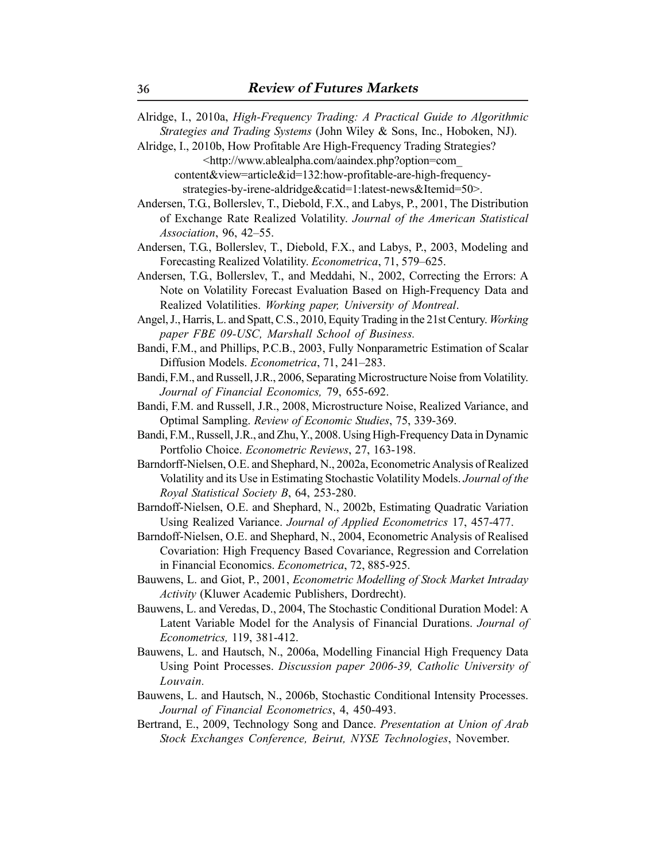- Alridge, I., 2010a, *High-Frequency Trading: A Practical Guide to Algorithmic Strategies and Trading Systems* (John Wiley & Sons, Inc., Hoboken, NJ).
- Alridge, I., 2010b, How Profitable Are High-Frequency Trading Strategies? <http://www.ablealpha.com/aaindex.php?option=com\_
	- content&view=article&id=132:how-profitable-are-high-frequencystrategies-by-irene-aldridge&catid=1:latest-news&Itemid=50>.
- Andersen, T.G., Bollerslev, T., Diebold, F.X., and Labys, P., 2001, The Distribution of Exchange Rate Realized Volatility. *Journal of the American Statistical Association*, 96, 42–55.
- Andersen, T.G., Bollerslev, T., Diebold, F.X., and Labys, P., 2003, Modeling and Forecasting Realized Volatility. *Econometrica*, 71, 579–625.
- Andersen, T.G., Bollerslev, T., and Meddahi, N., 2002, Correcting the Errors: A Note on Volatility Forecast Evaluation Based on High-Frequency Data and Realized Volatilities. *Working paper, University of Montreal*.
- Angel, J., Harris, L. and Spatt, C.S., 2010, Equity Trading in the 21st Century. *Working paper FBE 09-USC, Marshall School of Business.*
- Bandi, F.M., and Phillips, P.C.B., 2003, Fully Nonparametric Estimation of Scalar Diffusion Models. *Econometrica*, 71, 241–283.
- Bandi, F.M., and Russell, J.R., 2006, Separating Microstructure Noise from Volatility. *Journal of Financial Economics,* 79, 655-692.
- Bandi, F.M. and Russell, J.R., 2008, Microstructure Noise, Realized Variance, and Optimal Sampling. *Review of Economic Studies*, 75, 339-369.
- Bandi, F.M., Russell, J.R., and Zhu, Y., 2008. Using High-Frequency Data in Dynamic Portfolio Choice. *Econometric Reviews*, 27, 163-198.
- Barndorff-Nielsen, O.E. and Shephard, N., 2002a, Econometric Analysis of Realized Volatility and its Use in Estimating Stochastic Volatility Models. *Journal of the Royal Statistical Society B*, 64, 253-280.
- Barndoff-Nielsen, O.E. and Shephard, N., 2002b, Estimating Quadratic Variation Using Realized Variance. *Journal of Applied Econometrics* 17, 457-477.
- Barndoff-Nielsen, O.E. and Shephard, N., 2004, Econometric Analysis of Realised Covariation: High Frequency Based Covariance, Regression and Correlation in Financial Economics. *Econometrica*, 72, 885-925.
- Bauwens, L. and Giot, P., 2001, *Econometric Modelling of Stock Market Intraday Activity* (Kluwer Academic Publishers, Dordrecht).
- Bauwens, L. and Veredas, D., 2004, The Stochastic Conditional Duration Model: A Latent Variable Model for the Analysis of Financial Durations. *Journal of Econometrics,* 119, 381-412.
- Bauwens, L. and Hautsch, N., 2006a, Modelling Financial High Frequency Data Using Point Processes. *Discussion paper 2006-39, Catholic University of Louvain.*
- Bauwens, L. and Hautsch, N., 2006b, Stochastic Conditional Intensity Processes. *Journal of Financial Econometrics*, 4, 450-493.
- Bertrand, E., 2009, Technology Song and Dance. *Presentation at Union of Arab Stock Exchanges Conference, Beirut, NYSE Technologies*, November.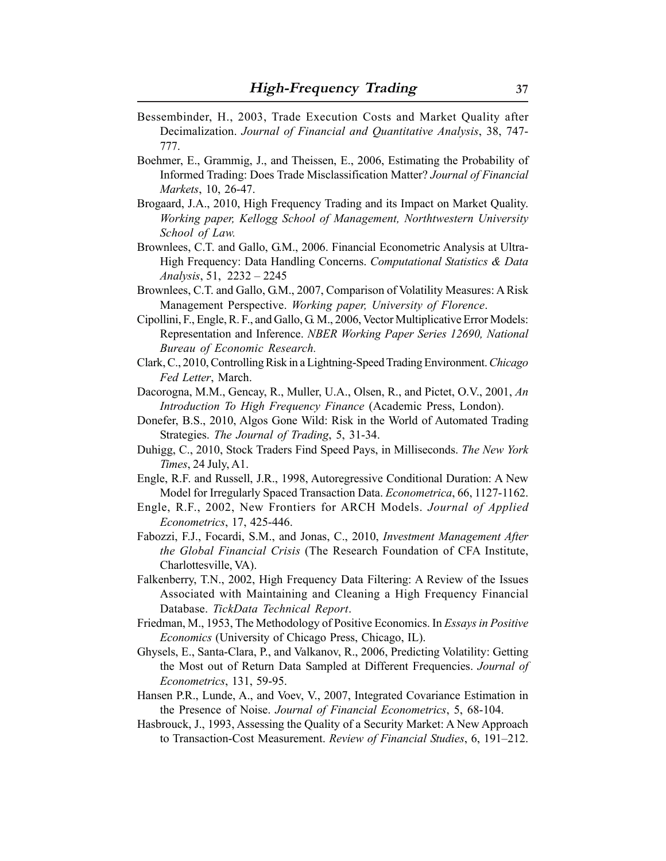- Bessembinder, H., 2003, Trade Execution Costs and Market Quality after Decimalization. *Journal of Financial and Quantitative Analysis*, 38, 747- 777.
- Boehmer, E., Grammig, J., and Theissen, E., 2006, Estimating the Probability of Informed Trading: Does Trade Misclassification Matter? *Journal of Financial Markets*, 10, 26-47.
- Brogaard, J.A., 2010, High Frequency Trading and its Impact on Market Quality. *Working paper, Kellogg School of Management, Northtwestern University School of Law.*
- Brownlees, C.T. and Gallo, G.M., 2006. Financial Econometric Analysis at Ultra-High Frequency: Data Handling Concerns. *Computational Statistics & Data Analysis*, 51, 2232 – 2245
- Brownlees, C.T. and Gallo, G.M., 2007, Comparison of Volatility Measures: A Risk Management Perspective. *Working paper, University of Florence*.
- Cipollini, F., Engle, R. F., and Gallo, G. M., 2006, Vector Multiplicative Error Models: Representation and Inference. *NBER Working Paper Series 12690, National Bureau of Economic Research.*
- Clark, C., 2010, Controlling Risk in a Lightning-Speed Trading Environment. *Chicago Fed Letter*, March.
- Dacorogna, M.M., Gencay, R., Muller, U.A., Olsen, R., and Pictet, O.V., 2001, *An Introduction To High Frequency Finance* (Academic Press, London).
- Donefer, B.S., 2010, Algos Gone Wild: Risk in the World of Automated Trading Strategies. *The Journal of Trading*, 5, 31-34.
- Duhigg, C., 2010, Stock Traders Find Speed Pays, in Milliseconds. *The New York Times*, 24 July, A1.
- Engle, R.F. and Russell, J.R., 1998, Autoregressive Conditional Duration: A New Model for Irregularly Spaced Transaction Data. *Econometrica*, 66, 1127-1162.
- Engle, R.F., 2002, New Frontiers for ARCH Models. *Journal of Applied Econometrics*, 17, 425-446.
- Fabozzi, F.J., Focardi, S.M., and Jonas, C., 2010, *Investment Management After the Global Financial Crisis* (The Research Foundation of CFA Institute, Charlottesville, VA).
- Falkenberry, T.N., 2002, High Frequency Data Filtering: A Review of the Issues Associated with Maintaining and Cleaning a High Frequency Financial Database. *TickData Technical Report*.
- Friedman, M., 1953, The Methodology of Positive Economics. In *Essays in Positive Economics* (University of Chicago Press, Chicago, IL).
- Ghysels, E., Santa-Clara, P., and Valkanov, R., 2006, Predicting Volatility: Getting the Most out of Return Data Sampled at Different Frequencies. *Journal of Econometrics*, 131, 59-95.
- Hansen P.R., Lunde, A., and Voev, V., 2007, Integrated Covariance Estimation in the Presence of Noise. *Journal of Financial Econometrics*, 5, 68-104.
- Hasbrouck, J., 1993, Assessing the Quality of a Security Market: A New Approach to Transaction-Cost Measurement. *Review of Financial Studies*, 6, 191–212.